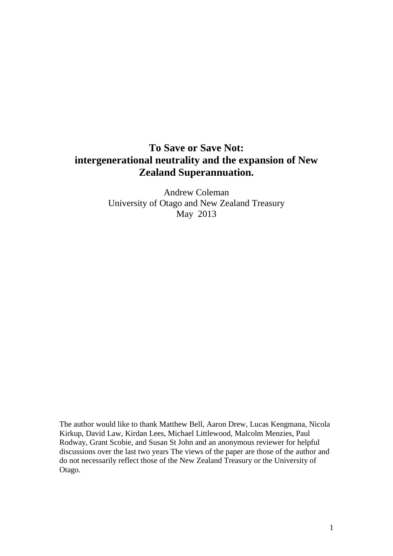# **To Save or Save Not: intergenerational neutrality and the expansion of New Zealand Superannuation.**

Andrew Coleman University of Otago and New Zealand Treasury May 2013

The author would like to thank Matthew Bell, Aaron Drew, Lucas Kengmana, Nicola Kirkup, David Law, Kirdan Lees, Michael Littlewood, Malcolm Menzies, Paul Rodway, Grant Scobie, and Susan St John and an anonymous reviewer for helpful discussions over the last two years The views of the paper are those of the author and do not necessarily reflect those of the New Zealand Treasury or the University of Otago.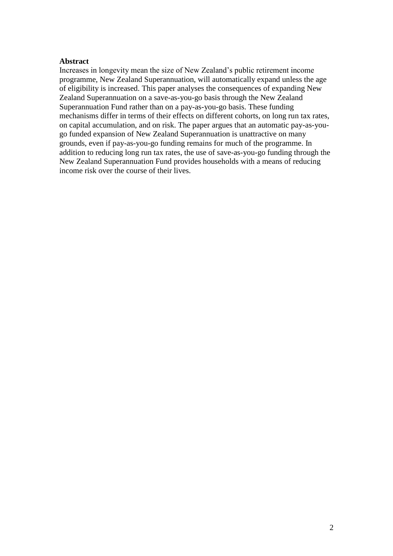#### **Abstract**

Increases in longevity mean the size of New Zealand's public retirement income programme, New Zealand Superannuation, will automatically expand unless the age of eligibility is increased. This paper analyses the consequences of expanding New Zealand Superannuation on a save-as-you-go basis through the New Zealand Superannuation Fund rather than on a pay-as-you-go basis. These funding mechanisms differ in terms of their effects on different cohorts, on long run tax rates, on capital accumulation, and on risk. The paper argues that an automatic pay-as-yougo funded expansion of New Zealand Superannuation is unattractive on many grounds, even if pay-as-you-go funding remains for much of the programme. In addition to reducing long run tax rates, the use of save-as-you-go funding through the New Zealand Superannuation Fund provides households with a means of reducing income risk over the course of their lives.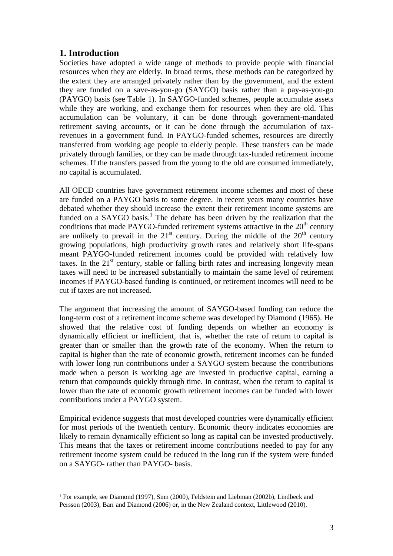## **1. Introduction**

1

Societies have adopted a wide range of methods to provide people with financial resources when they are elderly. In broad terms, these methods can be categorized by the extent they are arranged privately rather than by the government, and the extent they are funded on a save-as-you-go (SAYGO) basis rather than a pay-as-you-go (PAYGO) basis (see Table 1). In SAYGO-funded schemes, people accumulate assets while they are working, and exchange them for resources when they are old. This accumulation can be voluntary, it can be done through government-mandated retirement saving accounts, or it can be done through the accumulation of taxrevenues in a government fund. In PAYGO-funded schemes, resources are directly transferred from working age people to elderly people. These transfers can be made privately through families, or they can be made through tax-funded retirement income schemes. If the transfers passed from the young to the old are consumed immediately, no capital is accumulated.

All OECD countries have government retirement income schemes and most of these are funded on a PAYGO basis to some degree. In recent years many countries have debated whether they should increase the extent their retirement income systems are funded on a SAYGO basis.<sup>1</sup> The debate has been driven by the realization that the conditions that made PAYGO-funded retirement systems attractive in the  $20<sup>th</sup>$  century are unlikely to prevail in the  $21<sup>st</sup>$  century. During the middle of the  $20<sup>th</sup>$  century growing populations, high productivity growth rates and relatively short life-spans meant PAYGO-funded retirement incomes could be provided with relatively low taxes. In the  $21<sup>st</sup>$  century, stable or falling birth rates and increasing longevity mean taxes will need to be increased substantially to maintain the same level of retirement incomes if PAYGO-based funding is continued, or retirement incomes will need to be cut if taxes are not increased.

The argument that increasing the amount of SAYGO-based funding can reduce the long-term cost of a retirement income scheme was developed by Diamond (1965). He showed that the relative cost of funding depends on whether an economy is dynamically efficient or inefficient, that is, whether the rate of return to capital is greater than or smaller than the growth rate of the economy. When the return to capital is higher than the rate of economic growth, retirement incomes can be funded with lower long run contributions under a SAYGO system because the contributions made when a person is working age are invested in productive capital, earning a return that compounds quickly through time. In contrast, when the return to capital is lower than the rate of economic growth retirement incomes can be funded with lower contributions under a PAYGO system.

Empirical evidence suggests that most developed countries were dynamically efficient for most periods of the twentieth century. Economic theory indicates economies are likely to remain dynamically efficient so long as capital can be invested productively. This means that the taxes or retirement income contributions needed to pay for any retirement income system could be reduced in the long run if the system were funded on a SAYGO- rather than PAYGO- basis.

<sup>1</sup> For example, see Diamond (1997), Sinn (2000), Feldstein and Liebman (2002b), Lindbeck and Persson (2003), Barr and Diamond (2006) or, in the New Zealand context, Littlewood (2010).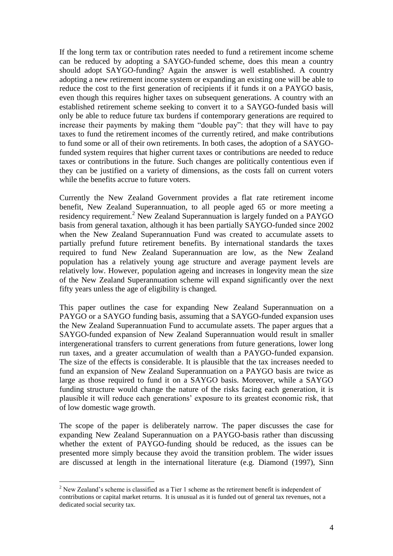If the long term tax or contribution rates needed to fund a retirement income scheme can be reduced by adopting a SAYGO-funded scheme, does this mean a country should adopt SAYGO-funding? Again the answer is well established. A country adopting a new retirement income system or expanding an existing one will be able to reduce the cost to the first generation of recipients if it funds it on a PAYGO basis, even though this requires higher taxes on subsequent generations. A country with an established retirement scheme seeking to convert it to a SAYGO-funded basis will only be able to reduce future tax burdens if contemporary generations are required to increase their payments by making them "double pay": that they will have to pay taxes to fund the retirement incomes of the currently retired, and make contributions to fund some or all of their own retirements. In both cases, the adoption of a SAYGOfunded system requires that higher current taxes or contributions are needed to reduce taxes or contributions in the future. Such changes are politically contentious even if they can be justified on a variety of dimensions, as the costs fall on current voters while the benefits accrue to future voters.

Currently the New Zealand Government provides a flat rate retirement income benefit, New Zealand Superannuation, to all people aged 65 or more meeting a residency requirement.<sup>2</sup> New Zealand Superannuation is largely funded on a PAYGO basis from general taxation, although it has been partially SAYGO-funded since 2002 when the New Zealand Superannuation Fund was created to accumulate assets to partially prefund future retirement benefits. By international standards the taxes required to fund New Zealand Superannuation are low, as the New Zealand population has a relatively young age structure and average payment levels are relatively low. However, population ageing and increases in longevity mean the size of the New Zealand Superannuation scheme will expand significantly over the next fifty years unless the age of eligibility is changed.

This paper outlines the case for expanding New Zealand Superannuation on a PAYGO or a SAYGO funding basis, assuming that a SAYGO-funded expansion uses the New Zealand Superannuation Fund to accumulate assets. The paper argues that a SAYGO-funded expansion of New Zealand Superannuation would result in smaller intergenerational transfers to current generations from future generations, lower long run taxes, and a greater accumulation of wealth than a PAYGO-funded expansion. The size of the effects is considerable. It is plausible that the tax increases needed to fund an expansion of New Zealand Superannuation on a PAYGO basis are twice as large as those required to fund it on a SAYGO basis. Moreover, while a SAYGO funding structure would change the nature of the risks facing each generation, it is plausible it will reduce each generations' exposure to its greatest economic risk, that of low domestic wage growth.

The scope of the paper is deliberately narrow. The paper discusses the case for expanding New Zealand Superannuation on a PAYGO-basis rather than discussing whether the extent of PAYGO-funding should be reduced, as the issues can be presented more simply because they avoid the transition problem. The wider issues are discussed at length in the international literature (e.g. Diamond (1997), Sinn

<u>.</u>

 $2$  New Zealand's scheme is classified as a Tier 1 scheme as the retirement benefit is independent of contributions or capital market returns. It is unusual as it is funded out of general tax revenues, not a dedicated social security tax.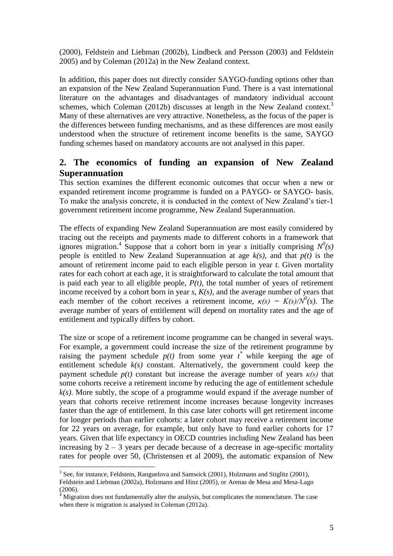(2000), Feldstein and Liebman (2002b), Lindbeck and Persson (2003) and Feldstein 2005) and by Coleman (2012a) in the New Zealand context.

In addition, this paper does not directly consider SAYGO-funding options other than an expansion of the New Zealand Superannuation Fund. There is a vast international literature on the advantages and disadvantages of mandatory individual account schemes, which Coleman (2012b) discusses at length in the New Zealand context.<sup>3</sup> Many of these alternatives are very attractive. Nonetheless, as the focus of the paper is the differences between funding mechanisms, and as these differences are most easily understood when the structure of retirement income benefits is the same, SAYGO funding schemes based on mandatory accounts are not analysed in this paper.

## **2. The economics of funding an expansion of New Zealand Superannuation**

This section examines the different economic outcomes that occur when a new or expanded retirement income programme is funded on a PAYGO- or SAYGO- basis. To make the analysis concrete, it is conducted in the context of New Zealand's tier-1 government retirement income programme, New Zealand Superannuation.

The effects of expanding New Zealand Superannuation are most easily considered by tracing out the receipts and payments made to different cohorts in a framework that ignores migration.<sup>4</sup> Suppose that a cohort born in year *s* initially comprising  $N^0(s)$ people is entitled to New Zealand Superannuation at age *k(s)*, and that *p(t)* is the amount of retirement income paid to each eligible person in year *t.* Given mortality rates for each cohort at each age*,* it is straightforward to calculate the total amount that is paid each year to all eligible people,  $P(t)$ , the total number of years of retirement income received by a cohort born in year *s*, *K(s)*, and the average number of years that each member of the cohort receives a retirement income,  $\kappa(s) = K(s)/N^0(s)$ . The average number of years of entitlement will depend on mortality rates and the age of entitlement and typically differs by cohort.

The size or scope of a retirement income programme can be changed in several ways. For example, a government could increase the size of the retirement programme by raising the payment schedule  $p(t)$  from some year  $t^*$  while keeping the age of entitlement schedule *k(s)* constant. Alternatively, the government could keep the payment schedule  $p(t)$  constant but increase the average number of years  $\kappa(s)$  that some cohorts receive a retirement income by reducing the age of entitlement schedule *k(s)*. More subtly, the scope of a programme would expand if the average number of years that cohorts receive retirement income increases because longevity increases faster than the age of entitlement. In this case later cohorts will get retirement income for longer periods than earlier cohorts: a later cohort may receive a retirement income for 22 years on average, for example, but only have to fund earlier cohorts for 17 years. Given that life expectancy in OECD countries including New Zealand has been increasing by  $2 - 3$  years per decade because of a decrease in age-specific mortality rates for people over 50, (Christensen et al 2009), the automatic expansion of New

<u>.</u>

 $3$  See, for instance, Feldstein, Ranguelova and Samwick (2001), Holzmann and Stiglitz (2001), Feldstein and Liebman (2002a), Holzmann and Hinz (2005), or Arenas de Mesa and Mesa-Lago (2006).

 $4\overline{4}$  Migration does not fundamentally alter the analysis, but complicates the nomenclature. The case when there is migration is analysed in Coleman (2012a).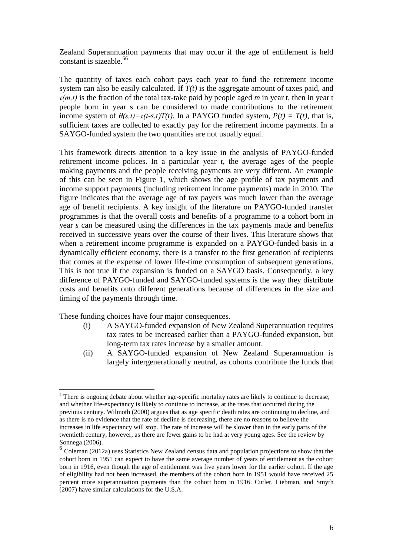Zealand Superannuation payments that may occur if the age of entitlement is held constant is sizeable.<sup>56</sup>

The quantity of taxes each cohort pays each year to fund the retirement income system can also be easily calculated. If *T(t)* is the aggregate amount of taxes paid, and *τ(m,t)* is the fraction of the total tax-take paid by people aged *m* in year t, then in year t people born in year s can be considered to made contributions to the retirement income system of  $\theta(s,t) = \tau(t-s,t)T(t)$ . In a PAYGO funded system,  $P(t) = T(t)$ , that is, sufficient taxes are collected to exactly pay for the retirement income payments. In a SAYGO-funded system the two quantities are not usually equal.

This framework directs attention to a key issue in the analysis of PAYGO-funded retirement income polices. In a particular year *t*, the average ages of the people making payments and the people receiving payments are very different. An example of this can be seen in Figure 1, which shows the age profile of tax payments and income support payments (including retirement income payments) made in 2010. The figure indicates that the average age of tax payers was much lower than the average age of benefit recipients. A key insight of the literature on PAYGO-funded transfer programmes is that the overall costs and benefits of a programme to a cohort born in year *s* can be measured using the differences in the tax payments made and benefits received in successive years over the course of their lives. This literature shows that when a retirement income programme is expanded on a PAYGO-funded basis in a dynamically efficient economy, there is a transfer to the first generation of recipients that comes at the expense of lower life-time consumption of subsequent generations. This is not true if the expansion is funded on a SAYGO basis. Consequently, a key difference of PAYGO-funded and SAYGO-funded systems is the way they distribute costs and benefits onto different generations because of differences in the size and timing of the payments through time.

These funding choices have four major consequences.

- (i) A SAYGO-funded expansion of New Zealand Superannuation requires tax rates to be increased earlier than a PAYGO-funded expansion, but long-term tax rates increase by a smaller amount.
- (ii) A SAYGO-funded expansion of New Zealand Superannuation is largely intergenerationally neutral, as cohorts contribute the funds that

<sup>&</sup>lt;sup>5</sup> There is ongoing debate about whether age-specific mortality rates are likely to continue to decrease, and whether life-expectancy is likely to continue to increase, at the rates that occurred during the previous century. Wilmoth (2000) argues that as age specific death rates are continuing to decline, and as there is no evidence that the rate of decline is decreasing, there are no reasons to believe the increases in life expectancy will stop. The rate of increase will be slower than in the early parts of the twentieth century, however, as there are fewer gains to be had at very young ages. See the review by Sonnega (2006).

<sup>&</sup>lt;sup>6</sup> Coleman (2012a) uses Statistics New Zealand census data and population projections to show that the cohort born in 1951 can expect to have the same average number of years of entitlement as the cohort born in 1916, even though the age of entitlement was five years lower for the earlier cohort. If the age of eligibility had not been increased, the members of the cohort born in 1951 would have received 25 percent more superannuation payments than the cohort born in 1916. Cutler, Liebman, and Smyth (2007) have similar calculations for the U.S.A.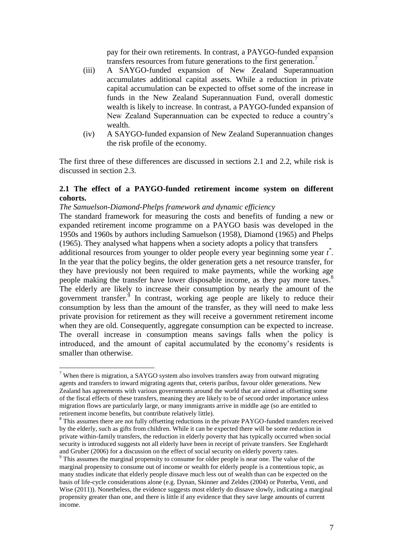pay for their own retirements. In contrast, a PAYGO-funded expansion transfers resources from future generations to the first generation.<sup>7</sup>

- (iii) A SAYGO-funded expansion of New Zealand Superannuation accumulates additional capital assets. While a reduction in private capital accumulation can be expected to offset some of the increase in funds in the New Zealand Superannuation Fund, overall domestic wealth is likely to increase. In contrast, a PAYGO-funded expansion of New Zealand Superannuation can be expected to reduce a country's wealth.
- (iv) A SAYGO-funded expansion of New Zealand Superannuation changes the risk profile of the economy.

The first three of these differences are discussed in sections 2.1 and 2.2, while risk is discussed in section 2.3.

#### **2.1 The effect of a PAYGO-funded retirement income system on different cohorts.**

### *The Samuelson-Diamond-Phelps framework and dynamic efficiency*

<u>.</u>

The standard framework for measuring the costs and benefits of funding a new or expanded retirement income programme on a PAYGO basis was developed in the 1950s and 1960s by authors including Samuelson (1958), Diamond (1965) and Phelps (1965). They analysed what happens when a society adopts a policy that transfers

additional resources from younger to older people every year beginning some year *t \** . In the year that the policy begins, the older generation gets a net resource transfer, for they have previously not been required to make payments, while the working age people making the transfer have lower disposable income, as they pay more taxes.<sup>8</sup> The elderly are likely to increase their consumption by nearly the amount of the government transfer. $\frac{9}{9}$  In contrast, working age people are likely to reduce their consumption by less than the amount of the transfer, as they will need to make less private provision for retirement as they will receive a government retirement income when they are old. Consequently, aggregate consumption can be expected to increase. The overall increase in consumption means savings falls when the policy is introduced, and the amount of capital accumulated by the economy's residents is smaller than otherwise.

 $7$  When there is migration, a SAYGO system also involves transfers away from outward migrating agents and transfers to inward migrating agents that, ceteris paribus, favour older generations. New Zealand has agreements with various governments around the world that are aimed at offsetting some of the fiscal effects of these transfers, meaning they are likely to be of second order importance unless migration flows are particularly large, or many immigrants arrive in middle age (so are entitled to retirement income benefits, but contribute relatively little).

<sup>&</sup>lt;sup>8</sup> This assumes there are not fully offsetting reductions in the private PAYGO-funded transfers received by the elderly, such as gifts from children. While it can be expected there will be some reduction in private within-family transfers, the reduction in elderly poverty that has typically occurred when social security is introduced suggests not all elderly have been in receipt of private transfers. See Englehardt and Gruber (2006) for a discussion on the effect of social security on elderly poverty rates.

<sup>&</sup>lt;sup>9</sup> This assumes the marginal propensity to consume for older people is near one. The value of the marginal propensity to consume out of income or wealth for elderly people is a contentious topic, as many studies indicate that elderly people dissave much less out of wealth than can be expected on the basis of life-cycle considerations alone (e.g. Dynan, Skinner and Zeldes (2004) or Poterba, Venti, and Wise (2011)). Nonetheless, the evidence suggests most elderly do dissave slowly, indicating a marginal propensity greater than one, and there is little if any evidence that they save large amounts of current income.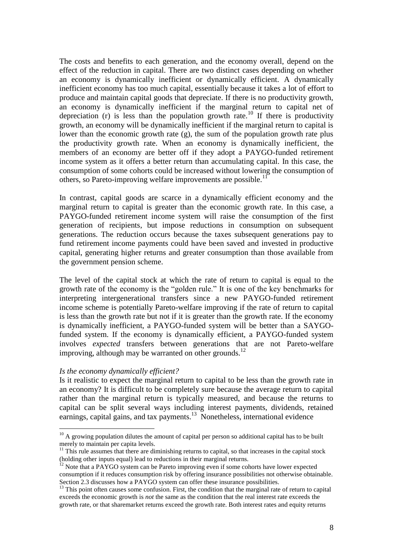The costs and benefits to each generation, and the economy overall, depend on the effect of the reduction in capital. There are two distinct cases depending on whether an economy is dynamically inefficient or dynamically efficient. A dynamically inefficient economy has too much capital, essentially because it takes a lot of effort to produce and maintain capital goods that depreciate. If there is no productivity growth, an economy is dynamically inefficient if the marginal return to capital net of depreciation (r) is less than the population growth rate.<sup>10</sup> If there is productivity growth, an economy will be dynamically inefficient if the marginal return to capital is lower than the economic growth rate (g), the sum of the population growth rate plus the productivity growth rate. When an economy is dynamically inefficient, the members of an economy are better off if they adopt a PAYGO-funded retirement income system as it offers a better return than accumulating capital. In this case, the consumption of some cohorts could be increased without lowering the consumption of others, so Pareto-improving welfare improvements are possible.<sup>11</sup>

In contrast, capital goods are scarce in a dynamically efficient economy and the marginal return to capital is greater than the economic growth rate. In this case, a PAYGO-funded retirement income system will raise the consumption of the first generation of recipients, but impose reductions in consumption on subsequent generations. The reduction occurs because the taxes subsequent generations pay to fund retirement income payments could have been saved and invested in productive capital, generating higher returns and greater consumption than those available from the government pension scheme.

The level of the capital stock at which the rate of return to capital is equal to the growth rate of the economy is the "golden rule." It is one of the key benchmarks for interpreting intergenerational transfers since a new PAYGO-funded retirement income scheme is potentially Pareto-welfare improving if the rate of return to capital is less than the growth rate but not if it is greater than the growth rate. If the economy is dynamically inefficient, a PAYGO-funded system will be better than a SAYGOfunded system. If the economy is dynamically efficient, a PAYGO-funded system involves *expected* transfers between generations that are not Pareto-welfare improving, although may be warranted on other grounds.<sup>12</sup>

#### *Is the economy dynamically efficient?*

1

Is it realistic to expect the marginal return to capital to be less than the growth rate in an economy? It is difficult to be completely sure because the average return to capital rather than the marginal return is typically measured, and because the returns to capital can be split several ways including interest payments, dividends, retained earnings, capital gains, and tax payments.<sup>13</sup> Nonetheless, international evidence

 $10$  A growing population dilutes the amount of capital per person so additional capital has to be built merely to maintain per capita levels.

 $11$  This rule assumes that there are diminishing returns to capital, so that increases in the capital stock (holding other inputs equal) lead to reductions in their marginal returns.

 $12$  Note that a PAYGO system can be Pareto improving even if some cohorts have lower expected consumption if it reduces consumption risk by offering insurance possibilities not otherwise obtainable. Section 2.3 discusses how a PAYGO system can offer these insurance possibilities.

<sup>&</sup>lt;sup>13</sup> This point often causes some confusion. First, the condition that the marginal rate of return to capital exceeds the economic growth is *not* the same as the condition that the real interest rate exceeds the growth rate, or that sharemarket returns exceed the growth rate. Both interest rates and equity returns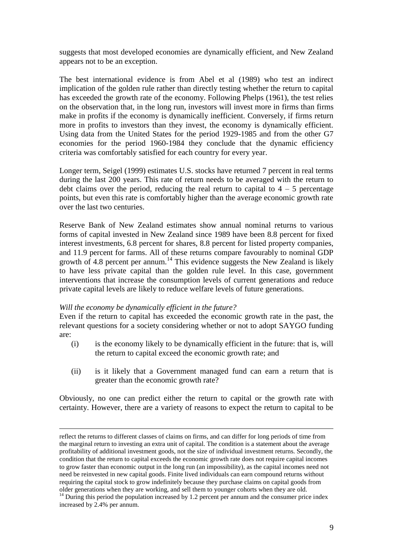suggests that most developed economies are dynamically efficient, and New Zealand appears not to be an exception.

The best international evidence is from Abel et al (1989) who test an indirect implication of the golden rule rather than directly testing whether the return to capital has exceeded the growth rate of the economy. Following Phelps (1961), the test relies on the observation that, in the long run, investors will invest more in firms than firms make in profits if the economy is dynamically inefficient. Conversely, if firms return more in profits to investors than they invest, the economy is dynamically efficient. Using data from the United States for the period 1929-1985 and from the other G7 economies for the period 1960-1984 they conclude that the dynamic efficiency criteria was comfortably satisfied for each country for every year.

Longer term, Seigel (1999) estimates U.S. stocks have returned 7 percent in real terms during the last 200 years. This rate of return needs to be averaged with the return to debt claims over the period, reducing the real return to capital to  $4 - 5$  percentage points, but even this rate is comfortably higher than the average economic growth rate over the last two centuries.

Reserve Bank of New Zealand estimates show annual nominal returns to various forms of capital invested in New Zealand since 1989 have been 8.8 percent for fixed interest investments, 6.8 percent for shares, 8.8 percent for listed property companies, and 11.9 percent for farms. All of these returns compare favourably to nominal GDP growth of 4.8 percent per annum.<sup>14</sup> This evidence suggests the New Zealand is likely to have less private capital than the golden rule level. In this case, government interventions that increase the consumption levels of current generations and reduce private capital levels are likely to reduce welfare levels of future generations.

#### *Will the economy be dynamically efficient in the future?*

1

Even if the return to capital has exceeded the economic growth rate in the past, the relevant questions for a society considering whether or not to adopt SAYGO funding are:

- (i) is the economy likely to be dynamically efficient in the future: that is, will the return to capital exceed the economic growth rate; and
- (ii) is it likely that a Government managed fund can earn a return that is greater than the economic growth rate?

Obviously, no one can predict either the return to capital or the growth rate with certainty. However, there are a variety of reasons to expect the return to capital to be

reflect the returns to different classes of claims on firms, and can differ for long periods of time from the marginal return to investing an extra unit of capital. The condition is a statement about the average profitability of additional investment goods, not the size of individual investment returns. Secondly, the condition that the return to capital exceeds the economic growth rate does not require capital incomes to grow faster than economic output in the long run (an impossibility), as the capital incomes need not need be reinvested in new capital goods. Finite lived individuals can earn compound returns without requiring the capital stock to grow indefinitely because they purchase claims on capital goods from older generations when they are working, and sell them to younger cohorts when they are old.

 $14$  During this period the population increased by 1.2 percent per annum and the consumer price index increased by 2.4% per annum.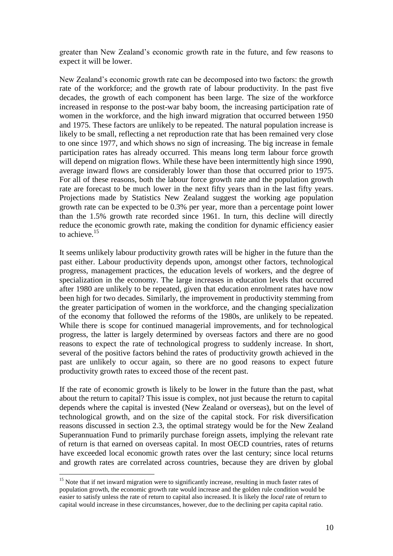greater than New Zealand's economic growth rate in the future, and few reasons to expect it will be lower.

New Zealand's economic growth rate can be decomposed into two factors: the growth rate of the workforce; and the growth rate of labour productivity. In the past five decades, the growth of each component has been large. The size of the workforce increased in response to the post-war baby boom, the increasing participation rate of women in the workforce, and the high inward migration that occurred between 1950 and 1975. These factors are unlikely to be repeated. The natural population increase is likely to be small, reflecting a net reproduction rate that has been remained very close to one since 1977, and which shows no sign of increasing. The big increase in female participation rates has already occurred. This means long term labour force growth will depend on migration flows. While these have been intermittently high since 1990, average inward flows are considerably lower than those that occurred prior to 1975. For all of these reasons, both the labour force growth rate and the population growth rate are forecast to be much lower in the next fifty years than in the last fifty years. Projections made by Statistics New Zealand suggest the working age population growth rate can be expected to be 0.3% per year, more than a percentage point lower than the 1.5% growth rate recorded since 1961. In turn, this decline will directly reduce the economic growth rate, making the condition for dynamic efficiency easier to achieve.<sup>15</sup>

It seems unlikely labour productivity growth rates will be higher in the future than the past either. Labour productivity depends upon, amongst other factors, technological progress, management practices, the education levels of workers, and the degree of specialization in the economy. The large increases in education levels that occurred after 1980 are unlikely to be repeated, given that education enrolment rates have now been high for two decades. Similarly, the improvement in productivity stemming from the greater participation of women in the workforce, and the changing specialization of the economy that followed the reforms of the 1980s, are unlikely to be repeated. While there is scope for continued managerial improvements, and for technological progress, the latter is largely determined by overseas factors and there are no good reasons to expect the rate of technological progress to suddenly increase. In short, several of the positive factors behind the rates of productivity growth achieved in the past are unlikely to occur again, so there are no good reasons to expect future productivity growth rates to exceed those of the recent past.

If the rate of economic growth is likely to be lower in the future than the past, what about the return to capital? This issue is complex, not just because the return to capital depends where the capital is invested (New Zealand or overseas), but on the level of technological growth, and on the size of the capital stock. For risk diversification reasons discussed in section 2.3, the optimal strategy would be for the New Zealand Superannuation Fund to primarily purchase foreign assets, implying the relevant rate of return is that earned on overseas capital. In most OECD countries, rates of returns have exceeded local economic growth rates over the last century; since local returns and growth rates are correlated across countries, because they are driven by global

<sup>&</sup>lt;sup>15</sup> Note that if net inward migration were to significantly increase, resulting in much faster rates of population growth, the economic growth rate would increase and the golden rule condition would be easier to satisfy unless the rate of return to capital also increased. It is likely the *local* rate of return to capital would increase in these circumstances, however, due to the declining per capita capital ratio.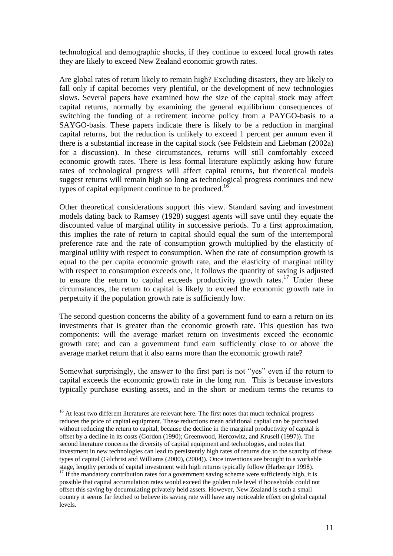technological and demographic shocks, if they continue to exceed local growth rates they are likely to exceed New Zealand economic growth rates.

Are global rates of return likely to remain high? Excluding disasters, they are likely to fall only if capital becomes very plentiful, or the development of new technologies slows. Several papers have examined how the size of the capital stock may affect capital returns, normally by examining the general equilibrium consequences of switching the funding of a retirement income policy from a PAYGO-basis to a SAYGO-basis. These papers indicate there is likely to be a reduction in marginal capital returns, but the reduction is unlikely to exceed 1 percent per annum even if there is a substantial increase in the capital stock (see Feldstein and Liebman (2002a) for a discussion). In these circumstances, returns will still comfortably exceed economic growth rates. There is less formal literature explicitly asking how future rates of technological progress will affect capital returns, but theoretical models suggest returns will remain high so long as technological progress continues and new types of capital equipment continue to be produced.<sup>16</sup>

Other theoretical considerations support this view. Standard saving and investment models dating back to Ramsey (1928) suggest agents will save until they equate the discounted value of marginal utility in successive periods. To a first approximation, this implies the rate of return to capital should equal the sum of the intertemporal preference rate and the rate of consumption growth multiplied by the elasticity of marginal utility with respect to consumption. When the rate of consumption growth is equal to the per capita economic growth rate, and the elasticity of marginal utility with respect to consumption exceeds one, it follows the quantity of saving is adjusted to ensure the return to capital exceeds productivity growth rates.<sup>17</sup> Under these circumstances, the return to capital is likely to exceed the economic growth rate in perpetuity if the population growth rate is sufficiently low.

The second question concerns the ability of a government fund to earn a return on its investments that is greater than the economic growth rate. This question has two components: will the average market return on investments exceed the economic growth rate; and can a government fund earn sufficiently close to or above the average market return that it also earns more than the economic growth rate?

Somewhat surprisingly, the answer to the first part is not "yes" even if the return to capital exceeds the economic growth rate in the long run. This is because investors typically purchase existing assets, and in the short or medium terms the returns to

<sup>&</sup>lt;sup>16</sup> At least two different literatures are relevant here. The first notes that much technical progress reduces the price of capital equipment. These reductions mean additional capital can be purchased without reducing the return to capital, because the decline in the marginal productivity of capital is offset by a decline in its costs (Gordon (1990); Greenwood, Hercowitz, and Krusell (1997)). The second literature concerns the diversity of capital equipment and technologies, and notes that investment in new technologies can lead to persistently high rates of returns due to the scarcity of these types of capital (Gilchrist and Williams (2000), (2004)). Once inventions are brought to a workable stage, lengthy periods of capital investment with high returns typically follow (Harberger 1998).

<sup>&</sup>lt;sup>17</sup> If the mandatory contribution rates for a government saving scheme were sufficiently high, it is possible that capital accumulation rates would exceed the golden rule level if households could not offset this saving by decumulating privately held assets. However, New Zealand is such a small country it seems far fetched to believe its saving rate will have any noticeable effect on global capital levels.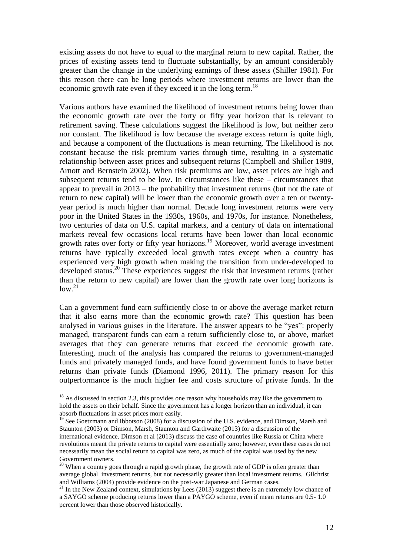existing assets do not have to equal to the marginal return to new capital. Rather, the prices of existing assets tend to fluctuate substantially, by an amount considerably greater than the change in the underlying earnings of these assets (Shiller 1981). For this reason there can be long periods where investment returns are lower than the economic growth rate even if they exceed it in the long term.<sup>18</sup>

Various authors have examined the likelihood of investment returns being lower than the economic growth rate over the forty or fifty year horizon that is relevant to retirement saving. These calculations suggest the likelihood is low, but neither zero nor constant. The likelihood is low because the average excess return is quite high, and because a component of the fluctuations is mean returning. The likelihood is not constant because the risk premium varies through time, resulting in a systematic relationship between asset prices and subsequent returns (Campbell and Shiller 1989, Arnott and Bernstein 2002). When risk premiums are low, asset prices are high and subsequent returns tend to be low. In circumstances like these – circumstances that appear to prevail in 2013 – the probability that investment returns (but not the rate of return to new capital) will be lower than the economic growth over a ten or twentyyear period is much higher than normal. Decade long investment returns were very poor in the United States in the 1930s, 1960s, and 1970s, for instance. Nonetheless, two centuries of data on U.S. capital markets, and a century of data on international markets reveal few occasions local returns have been lower than local economic growth rates over forty or fifty year horizons.<sup>19</sup> Moreover, world average investment returns have typically exceeded local growth rates except when a country has experienced very high growth when making the transition from under-developed to developed status.<sup>20</sup> These experiences suggest the risk that investment returns (rather than the return to new capital) are lower than the growth rate over long horizons is  $low<sup>21</sup>$ 

Can a government fund earn sufficiently close to or above the average market return that it also earns more than the economic growth rate? This question has been analysed in various guises in the literature. The answer appears to be "yes": properly managed, transparent funds can earn a return sufficiently close to, or above, market averages that they can generate returns that exceed the economic growth rate. Interesting, much of the analysis has compared the returns to government-managed funds and privately managed funds, and have found government funds to have better returns than private funds (Diamond 1996, 2011). The primary reason for this outperformance is the much higher fee and costs structure of private funds. In the

<u>.</u>

 $18$  As discussed in section 2.3, this provides one reason why households may like the government to hold the assets on their behalf. Since the government has a longer horizon than an individual, it can absorb fluctuations in asset prices more easily.

<sup>&</sup>lt;sup>19</sup> See Goetzmann and Ibbotson (2008) for a discussion of the U.S. evidence, and Dimson, Marsh and Staunton (2003) or Dimson, Marsh, Staunton and Garthwaite (2013) for a discussion of the international evidence. Dimson et al (2013) discuss the case of countries like Russia or China where revolutions meant the private returns to capital were essentially zero; however, even these cases do not necessarily mean the social return to capital was zero, as much of the capital was used by the new Government owners.

 $20$  When a country goes through a rapid growth phase, the growth rate of GDP is often greater than average global investment returns, but not necessarily greater than local investment returns. Gilchrist and Williams (2004) provide evidence on the post-war Japanese and German cases.

<sup>&</sup>lt;sup>21</sup> In the New Zealand context, simulations by Lees (2013) suggest there is an extremely low chance of a SAYGO scheme producing returns lower than a PAYGO scheme, even if mean returns are 0.5- 1.0 percent lower than those observed historically.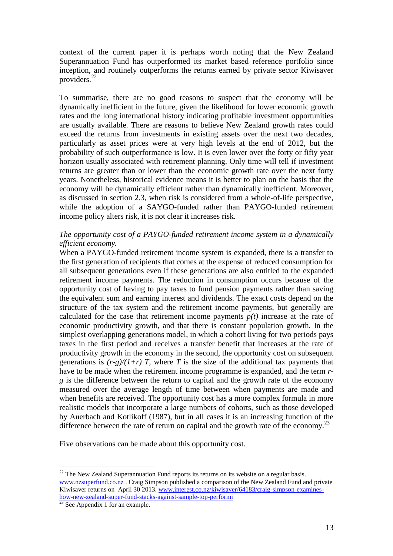context of the current paper it is perhaps worth noting that the New Zealand Superannuation Fund has outperformed its market based reference portfolio since inception, and routinely outperforms the returns earned by private sector Kiwisaver providers.<sup>22</sup>

To summarise, there are no good reasons to suspect that the economy will be dynamically inefficient in the future, given the likelihood for lower economic growth rates and the long international history indicating profitable investment opportunities are usually available. There are reasons to believe New Zealand growth rates could exceed the returns from investments in existing assets over the next two decades, particularly as asset prices were at very high levels at the end of 2012, but the probability of such outperformance is low. It is even lower over the forty or fifty year horizon usually associated with retirement planning. Only time will tell if investment returns are greater than or lower than the economic growth rate over the next forty years. Nonetheless, historical evidence means it is better to plan on the basis that the economy will be dynamically efficient rather than dynamically inefficient. Moreover, as discussed in section 2.3, when risk is considered from a whole-of-life perspective, while the adoption of a SAYGO-funded rather than PAYGO-funded retirement income policy alters risk, it is not clear it increases risk.

### *The opportunity cost of a PAYGO-funded retirement income system in a dynamically efficient economy.*

When a PAYGO-funded retirement income system is expanded, there is a transfer to the first generation of recipients that comes at the expense of reduced consumption for all subsequent generations even if these generations are also entitled to the expanded retirement income payments. The reduction in consumption occurs because of the opportunity cost of having to pay taxes to fund pension payments rather than saving the equivalent sum and earning interest and dividends. The exact costs depend on the structure of the tax system and the retirement income payments, but generally are calculated for the case that retirement income payments  $p(t)$  increase at the rate of economic productivity growth, and that there is constant population growth. In the simplest overlapping generations model, in which a cohort living for two periods pays taxes in the first period and receives a transfer benefit that increases at the rate of productivity growth in the economy in the second, the opportunity cost on subsequent generations is  $(r-g)/(1+r)$  *T*, where *T* is the size of the additional tax payments that have to be made when the retirement income programme is expanded, and the term *rg* is the difference between the return to capital and the growth rate of the economy measured over the average length of time between when payments are made and when benefits are received. The opportunity cost has a more complex formula in more realistic models that incorporate a large numbers of cohorts, such as those developed by Auerbach and Kotlikoff (1987), but in all cases it is an increasing function of the difference between the rate of return on capital and the growth rate of the economy.<sup>23</sup>

Five observations can be made about this opportunity cost.

<sup>&</sup>lt;u>.</u>  $22$  The New Zealand Superannuation Fund reports its returns on its website on a regular basis. [www.nzsuperfund.co.nz](http://www.nzsuperfund.co.nz/) . Craig Simpson published a comparison of the New Zealand Fund and private Kiwisaver returns on April 30 2013. [www.interest.co.nz/kiwisaver/64183/craig-simpson-examines](http://www.interest.co.nz/kiwisaver/64183/craig-simpson-examines-how-new-zealand-super-fund-stacks-against-sample-top-performi)[how-new-zealand-super-fund-stacks-against-sample-top-performi](http://www.interest.co.nz/kiwisaver/64183/craig-simpson-examines-how-new-zealand-super-fund-stacks-against-sample-top-performi) 

 $\frac{23}{23}$  See Appendix 1 for an example.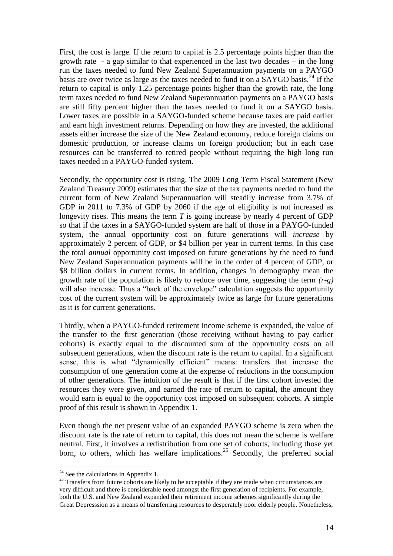First, the cost is large. If the return to capital is 2.5 percentage points higher than the growth rate - a gap similar to that experienced in the last two decades – in the long run the taxes needed to fund New Zealand Superannuation payments on a PAYGO basis are over twice as large as the taxes needed to fund it on a SAYGO basis.<sup>24</sup> If the return to capital is only 1.25 percentage points higher than the growth rate, the long term taxes needed to fund New Zealand Superannuation payments on a PAYGO basis are still fifty percent higher than the taxes needed to fund it on a SAYGO basis. Lower taxes are possible in a SAYGO-funded scheme because taxes are paid earlier and earn high investment returns. Depending on how they are invested, the additional assets either increase the size of the New Zealand economy, reduce foreign claims on domestic production, or increase claims on foreign production; but in each case resources can be transferred to retired people without requiring the high long run taxes needed in a PAYGO-funded system.

Secondly, the opportunity cost is rising. The 2009 Long Term Fiscal Statement (New Zealand Treasury 2009) estimates that the size of the tax payments needed to fund the current form of New Zealand Superannuation will steadily increase from 3.7% of GDP in 2011 to 7.3% of GDP by 2060 if the age of eligibility is not increased as longevity rises. This means the term *T* is going increase by nearly 4 percent of GDP so that if the taxes in a SAYGO-funded system are half of those in a PAYGO-funded system, the annual opportunity cost on future generations will *increase* by approximately 2 percent of GDP, or \$4 billion per year in current terms. In this case the total *annual* opportunity cost imposed on future generations by the need to fund New Zealand Superannuation payments will be in the order of 4 percent of GDP, or \$8 billion dollars in current terms. In addition, changes in demography mean the growth rate of the population is likely to reduce over time, suggesting the term *(r-g)*  will also increase. Thus a "back of the envelope" calculation suggests the opportunity cost of the current system will be approximately twice as large for future generations as it is for current generations.

Thirdly, when a PAYGO-funded retirement income scheme is expanded, the value of the transfer to the first generation (those receiving without having to pay earlier cohorts) is exactly equal to the discounted sum of the opportunity costs on all subsequent generations, when the discount rate is the return to capital. In a significant sense, this is what "dynamically efficient" means: transfers that increase the consumption of one generation come at the expense of reductions in the consumption of other generations. The intuition of the result is that if the first cohort invested the resources they were given, and earned the rate of return to capital, the amount they would earn is equal to the opportunity cost imposed on subsequent cohorts. A simple proof of this result is shown in Appendix 1.

Even though the net present value of an expanded PAYGO scheme is zero when the discount rate is the rate of return to capital, this does not mean the scheme is welfare neutral. First, it involves a redistribution from one set of cohorts, including those yet born, to others, which has welfare implications.<sup>25</sup> Secondly, the preferred social

<u>.</u>

 $24$  See the calculations in Appendix 1.

 $25$  Transfers from future cohorts are likely to be acceptable if they are made when circumstances are very difficult and there is considerable need amongst the first generation of recipients. For example, both the U.S. and New Zealand expanded their retirement income schemes significantly during the Great Depresssion as a means of transferring resources to desperately poor elderly people. Nonetheless,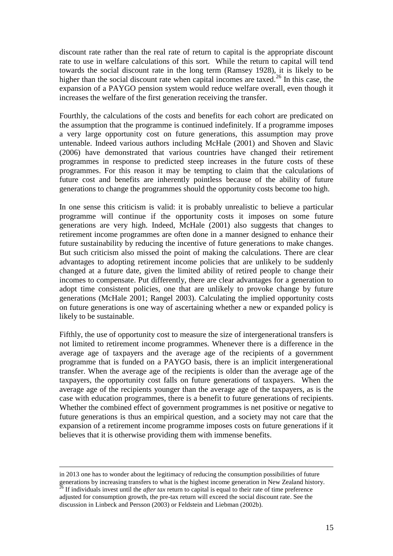discount rate rather than the real rate of return to capital is the appropriate discount rate to use in welfare calculations of this sort. While the return to capital will tend towards the social discount rate in the long term (Ramsey 1928), it is likely to be higher than the social discount rate when capital incomes are taxed.<sup>26</sup> In this case, the expansion of a PAYGO pension system would reduce welfare overall, even though it increases the welfare of the first generation receiving the transfer.

Fourthly, the calculations of the costs and benefits for each cohort are predicated on the assumption that the programme is continued indefinitely. If a programme imposes a very large opportunity cost on future generations, this assumption may prove untenable. Indeed various authors including McHale (2001) and Shoven and Slavic (2006) have demonstrated that various countries have changed their retirement programmes in response to predicted steep increases in the future costs of these programmes. For this reason it may be tempting to claim that the calculations of future cost and benefits are inherently pointless because of the ability of future generations to change the programmes should the opportunity costs become too high.

In one sense this criticism is valid: it is probably unrealistic to believe a particular programme will continue if the opportunity costs it imposes on some future generations are very high. Indeed, McHale (2001) also suggests that changes to retirement income programmes are often done in a manner designed to enhance their future sustainability by reducing the incentive of future generations to make changes. But such criticism also missed the point of making the calculations. There are clear advantages to adopting retirement income policies that are unlikely to be suddenly changed at a future date, given the limited ability of retired people to change their incomes to compensate. Put differently, there are clear advantages for a generation to adopt time consistent policies, one that are unlikely to provoke change by future generations (McHale 2001; Rangel 2003). Calculating the implied opportunity costs on future generations is one way of ascertaining whether a new or expanded policy is likely to be sustainable.

Fifthly, the use of opportunity cost to measure the size of intergenerational transfers is not limited to retirement income programmes. Whenever there is a difference in the average age of taxpayers and the average age of the recipients of a government programme that is funded on a PAYGO basis, there is an implicit intergenerational transfer. When the average age of the recipients is older than the average age of the taxpayers, the opportunity cost falls on future generations of taxpayers. When the average age of the recipients younger than the average age of the taxpayers, as is the case with education programmes, there is a benefit to future generations of recipients. Whether the combined effect of government programmes is net positive or negative to future generations is thus an empirical question, and a society may not care that the expansion of a retirement income programme imposes costs on future generations if it believes that it is otherwise providing them with immense benefits.

<u>.</u>

in 2013 one has to wonder about the legitimacy of reducing the consumption possibilities of future generations by increasing transfers to what is the highest income generation in New Zealand history.

 $\frac{1}{2}$  If individuals invest until the *after tax* return to capital is equal to their rate of time preference adjusted for consumption growth, the pre-tax return will exceed the social discount rate. See the discussion in Linbeck and Persson (2003) or Feldstein and Liebman (2002b).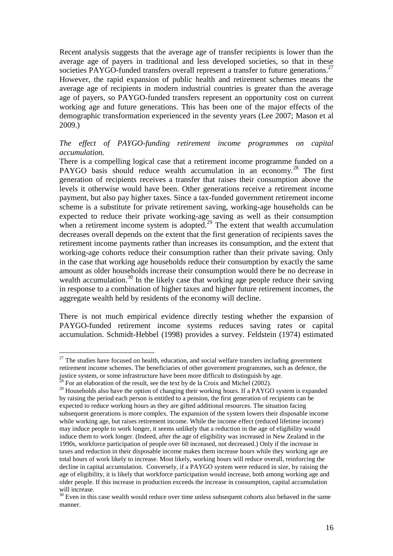Recent analysis suggests that the average age of transfer recipients is lower than the average age of payers in traditional and less developed societies, so that in these societies PAYGO-funded transfers overall represent a transfer to future generations.<sup>27</sup> However, the rapid expansion of public health and retirement schemes means the average age of recipients in modern industrial countries is greater than the average age of payers, so PAYGO-funded transfers represent an opportunity cost on current working age and future generations. This has been one of the major effects of the demographic transformation experienced in the seventy years (Lee 2007; Mason et al 2009.)

### *The effect of PAYGO-funding retirement income programmes on capital accumulation.*

There is a compelling logical case that a retirement income programme funded on a PAYGO basis should reduce wealth accumulation in an economy.<sup>28</sup> The first generation of recipients receives a transfer that raises their consumption above the levels it otherwise would have been. Other generations receive a retirement income payment, but also pay higher taxes. Since a tax-funded government retirement income scheme is a substitute for private retirement saving, working-age households can be expected to reduce their private working-age saving as well as their consumption when a retirement income system is adopted.<sup>29</sup> The extent that wealth accumulation decreases overall depends on the extent that the first generation of recipients saves the retirement income payments rather than increases its consumption, and the extent that working-age cohorts reduce their consumption rather than their private saving. Only in the case that working age households reduce their consumption by exactly the same amount as older households increase their consumption would there be no decrease in wealth accumulation.<sup>30</sup> In the likely case that working age people reduce their saving in response to a combination of higher taxes and higher future retirement incomes, the aggregate wealth held by residents of the economy will decline.

There is not much empirical evidence directly testing whether the expansion of PAYGO-funded retirement income systems reduces saving rates or capital accumulation. Schmidt-Hebbel (1998) provides a survey. Feldstein (1974) estimated

 $27$  The studies have focused on health, education, and social welfare transfers including government retirement income schemes. The beneficiaries of other government programmes, such as defence, the justice system, or some infrastructure have been more difficult to distinguish by age.

 $8\,$  For an elaboration of the result, see the text by de la Croix and Michel (2002).

<sup>&</sup>lt;sup>29</sup> Households also have the option of changing their working hours. If a PAYGO system is expanded by raising the period each person is entitled to a pension, the first generation of recipients can be expected to reduce working hours as they are gifted additional resources. The situation facing subsequent generations is more complex. The expansion of the system lowers their disposable income while working age, but raises retirement income. While the income effect (reduced lifetime income) may induce people to work longer, it seems unlikely that a reduction in the age of eligibility would induce them to work longer. (Indeed, after the age of eligibility was increased in New Zealand in the 1990s, workforce participation of people over 60 increased, not decreased.) Only if the increase in taxes and reduction in their disposable income makes them increase hours while they working age are total hours of work likely to increase. Most likely, working hours will reduce overall, reinforcing the decline in capital accumulation. Conversely, if a PAYGO system were reduced in size, by raising the age of eligibility, it is likely that workforce participation would increase, both among working age and older people. If this increase in production exceeds the increase in consumption, capital accumulation will increase.

<sup>&</sup>lt;sup>30</sup> Even in this case wealth would reduce over time unless subsequent cohorts also behaved in the same manner.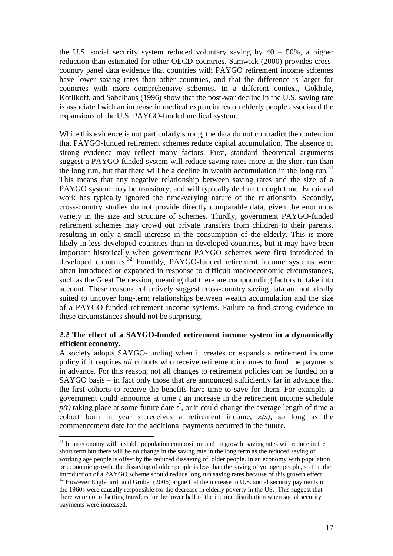the U.S. social security system reduced voluntary saving by  $40 - 50\%$ , a higher reduction than estimated for other OECD countries. Samwick (2000) provides crosscountry panel data evidence that countries with PAYGO retirement income schemes have lower saving rates than other countries, and that the difference is larger for countries with more comprehensive schemes. In a different context, Gokhale, Kotlikoff, and Sabelhaus (1996) show that the post-war decline in the U.S. saving rate is associated with an increase in medical expenditures on elderly people associated the expansions of the U.S. PAYGO-funded medical system.

While this evidence is not particularly strong, the data do not contradict the contention that PAYGO-funded retirement schemes reduce capital accumulation. The absence of strong evidence may reflect many factors. First, standard theoretical arguments suggest a PAYGO-funded system will reduce saving rates more in the short run than the long run, but that there will be a decline in wealth accumulation in the long run.<sup>31</sup> This means that any negative relationship between saving rates and the size of a PAYGO system may be transitory, and will typically decline through time. Empirical work has typically ignored the time-varying nature of the relationship. Secondly, cross-country studies do not provide directly comparable data, given the enormous variety in the size and structure of schemes. Thirdly, government PAYGO-funded retirement schemes may crowd out private transfers from children to their parents, resulting in only a small increase in the consumption of the elderly. This is more likely in less developed countries than in developed countries, but it may have been important historically when government PAYGO schemes were first introduced in developed countries.<sup>32</sup> Fourthly, PAYGO-funded retirement income systems were often introduced or expanded in response to difficult macroeconomic circumstances, such as the Great Depression, meaning that there are compounding factors to take into account. These reasons collectively suggest cross-country saving data are not ideally suited to uncover long-term relationships between wealth accumulation and the size of a PAYGO-funded retirement income systems. Failure to find strong evidence in these circumstances should not be surprising.

### **2.2 The effect of a SAYGO-funded retirement income system in a dynamically efficient economy.**

A society adopts SAYGO-funding when it creates or expands a retirement income policy if it requires *all* cohorts who receive retirement incomes to fund the payments in advance. For this reason, not all changes to retirement policies can be funded on a SAYGO basis – in fact only those that are announced sufficiently far in advance that the first cohorts to receive the benefits have time to save for them. For example, a government could announce at time *t* an increase in the retirement income schedule  $p(t)$  taking place at some future date  $t^*$ , or it could change the average length of time a cohort born in year *s* receives a retirement income, *κ(s)*, so long as the commencement date for the additional payments occurred in the future.

<sup>&</sup>lt;u>.</u>  $31$  In an economy with a stable population composition and no growth, saving rates will reduce in the short term but there will be no change in the saving rate in the long term as the reduced saving of working age people is offset by the reduced dissaving of older people. In an economy with population or economic growth, the dissaving of older people is less than the saving of younger people, so that the introduction of a PAYGO scheme should reduce long run saving rates because of this growth effect. <sup>32</sup> However Englehardt and Gruber (2006) argue that the increase in U.S. social security payments in the 1960s were causally responsible for the decrease in elderly poverty in the US. This suggest that there were not offsetting transfers for the lower half of the income distribution when social security payments were increased.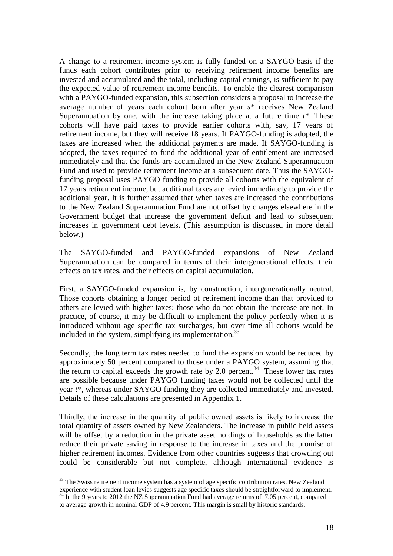A change to a retirement income system is fully funded on a SAYGO-basis if the funds each cohort contributes prior to receiving retirement income benefits are invested and accumulated and the total, including capital earnings, is sufficient to pay the expected value of retirement income benefits. To enable the clearest comparison with a PAYGO-funded expansion, this subsection considers a proposal to increase the average number of years each cohort born after year *s\** receives New Zealand Superannuation by one, with the increase taking place at a future time *t\**. These cohorts will have paid taxes to provide earlier cohorts with, say, 17 years of retirement income, but they will receive 18 years. If PAYGO-funding is adopted, the taxes are increased when the additional payments are made. If SAYGO-funding is adopted, the taxes required to fund the additional year of entitlement are increased immediately and that the funds are accumulated in the New Zealand Superannuation Fund and used to provide retirement income at a subsequent date. Thus the SAYGOfunding proposal uses PAYGO funding to provide all cohorts with the equivalent of 17 years retirement income, but additional taxes are levied immediately to provide the additional year. It is further assumed that when taxes are increased the contributions to the New Zealand Superannuation Fund are not offset by changes elsewhere in the Government budget that increase the government deficit and lead to subsequent increases in government debt levels. (This assumption is discussed in more detail below.)

The SAYGO-funded and PAYGO-funded expansions of New Zealand Superannuation can be compared in terms of their intergenerational effects, their effects on tax rates, and their effects on capital accumulation.

First, a SAYGO-funded expansion is, by construction, intergenerationally neutral. Those cohorts obtaining a longer period of retirement income than that provided to others are levied with higher taxes; those who do not obtain the increase are not. In practice, of course, it may be difficult to implement the policy perfectly when it is introduced without age specific tax surcharges, but over time all cohorts would be included in the system, simplifying its implementation. $33$ 

Secondly, the long term tax rates needed to fund the expansion would be reduced by approximately 50 percent compared to those under a PAYGO system, assuming that the return to capital exceeds the growth rate by 2.0 percent.<sup>34</sup> These lower tax rates are possible because under PAYGO funding taxes would not be collected until the year *t\**, whereas under SAYGO funding they are collected immediately and invested. Details of these calculations are presented in Appendix 1.

Thirdly, the increase in the quantity of public owned assets is likely to increase the total quantity of assets owned by New Zealanders. The increase in public held assets will be offset by a reduction in the private asset holdings of households as the latter reduce their private saving in response to the increase in taxes and the promise of higher retirement incomes. Evidence from other countries suggests that crowding out could be considerable but not complete, although international evidence is

<sup>&</sup>lt;sup>33</sup> The Swiss retirement income system has a system of age specific contribution rates. New Zealand experience with student loan levies suggests age specific taxes should be straightforward to implement. <sup>34</sup> In the 9 years to 2012 the NZ Superannuation Fund had average returns of 7.05 percent, compared

to average growth in nominal GDP of 4.9 percent. This margin is small by historic standards.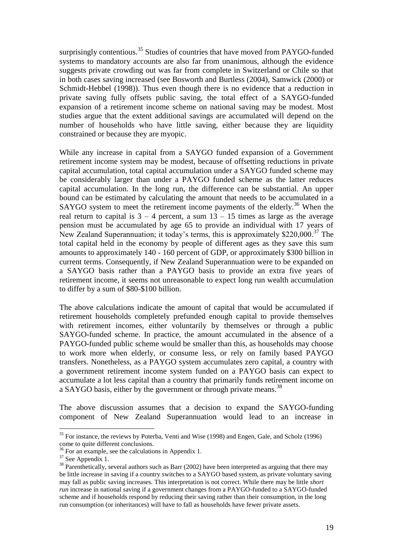surprisingly contentious.<sup>35</sup> Studies of countries that have moved from PAYGO-funded systems to mandatory accounts are also far from unanimous, although the evidence suggests private crowding out was far from complete in Switzerland or Chile so that in both cases saving increased (see Bosworth and Burtless (2004), Samwick (2000) or Schmidt-Hebbel (1998)). Thus even though there is no evidence that a reduction in private saving fully offsets public saving, the total effect of a SAYGO-funded expansion of a retirement income scheme on national saving may be modest. Most studies argue that the extent additional savings are accumulated will depend on the number of households who have little saving, either because they are liquidity constrained or because they are myopic.

While any increase in capital from a SAYGO funded expansion of a Government retirement income system may be modest, because of offsetting reductions in private capital accumulation, total capital accumulation under a SAYGO funded scheme may be considerably larger than under a PAYGO funded scheme as the latter reduces capital accumulation. In the long run, the difference can be substantial. An upper bound can be estimated by calculating the amount that needs to be accumulated in a SAYGO system to meet the retirement income payments of the elderly.<sup>36</sup> When the real return to capital is  $3 - 4$  percent, a sum  $13 - 15$  times as large as the average pension must be accumulated by age 65 to provide an individual with 17 years of New Zealand Superannuation; it today's terms, this is approximately \$220,000.<sup>37</sup> The total capital held in the economy by people of different ages as they save this sum amounts to approximately 140 - 160 percent of GDP, or approximately \$300 billion in current terms. Consequently, if New Zealand Superannuation were to be expanded on a SAYGO basis rather than a PAYGO basis to provide an extra five years of retirement income, it seems not unreasonable to expect long run wealth accumulation to differ by a sum of \$80-\$100 billion.

The above calculations indicate the amount of capital that would be accumulated if retirement households completely prefunded enough capital to provide themselves with retirement incomes, either voluntarily by themselves or through a public SAYGO-funded scheme. In practice, the amount accumulated in the absence of a PAYGO-funded public scheme would be smaller than this, as households may choose to work more when elderly, or consume less, or rely on family based PAYGO transfers. Nonetheless, as a PAYGO system accumulates zero capital, a country with a government retirement income system funded on a PAYGO basis can expect to accumulate a lot less capital than a country that primarily funds retirement income on a SAYGO basis, either by the government or through private means.<sup>38</sup>

The above discussion assumes that a decision to expand the SAYGO-funding component of New Zealand Superannuation would lead to an increase in

<sup>&</sup>lt;sup>35</sup> For instance, the reviews by Poterba, Venti and Wise (1998) and Engen, Gale, and Scholz (1996) come to quite different conclusions.

<sup>&</sup>lt;sup>36</sup> For an example, see the calculations in Appendix 1.

<sup>&</sup>lt;sup>37</sup> See Appendix 1.

<sup>&</sup>lt;sup>38</sup> Parenthetically, several authors such as Barr (2002) have been interpreted as arguing that there may be little increase in saving if a country switches to a SAYGO based system, as private voluntary saving may fall as public saving increases. This interpretation is not correct. While there may be little *short run* increase in national saving if a government changes from a PAYGO-funded to a SAYGO-funded scheme and if households respond by reducing their saving rather than their consumption, in the long run consumption (or inheritances) will have to fall as households have fewer private assets.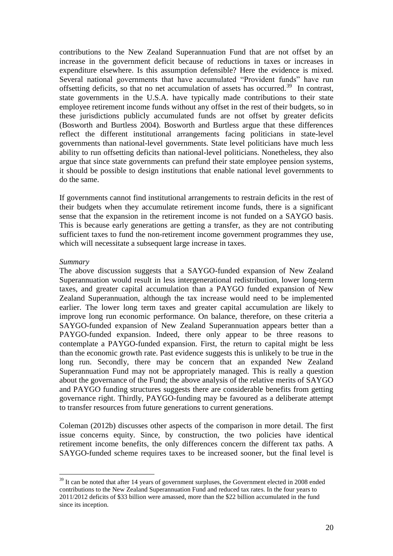contributions to the New Zealand Superannuation Fund that are not offset by an increase in the government deficit because of reductions in taxes or increases in expenditure elsewhere. Is this assumption defensible? Here the evidence is mixed. Several national governments that have accumulated "Provident funds" have run offsetting deficits, so that no net accumulation of assets has occurred.<sup>39</sup> In contrast, state governments in the U.S.A. have typically made contributions to their state employee retirement income funds without any offset in the rest of their budgets, so in these jurisdictions publicly accumulated funds are not offset by greater deficits (Bosworth and Burtless 2004). Bosworth and Burtless argue that these differences reflect the different institutional arrangements facing politicians in state-level governments than national-level governments. State level politicians have much less ability to run offsetting deficits than national-level politicians. Nonetheless, they also argue that since state governments can prefund their state employee pension systems, it should be possible to design institutions that enable national level governments to do the same.

If governments cannot find institutional arrangements to restrain deficits in the rest of their budgets when they accumulate retirement income funds, there is a significant sense that the expansion in the retirement income is not funded on a SAYGO basis. This is because early generations are getting a transfer, as they are not contributing sufficient taxes to fund the non-retirement income government programmes they use, which will necessitate a subsequent large increase in taxes.

#### *Summary*

1

The above discussion suggests that a SAYGO-funded expansion of New Zealand Superannuation would result in less intergenerational redistribution, lower long-term taxes, and greater capital accumulation than a PAYGO funded expansion of New Zealand Superannuation, although the tax increase would need to be implemented earlier. The lower long term taxes and greater capital accumulation are likely to improve long run economic performance. On balance, therefore, on these criteria a SAYGO-funded expansion of New Zealand Superannuation appears better than a PAYGO-funded expansion. Indeed, there only appear to be three reasons to contemplate a PAYGO-funded expansion. First, the return to capital might be less than the economic growth rate. Past evidence suggests this is unlikely to be true in the long run. Secondly, there may be concern that an expanded New Zealand Superannuation Fund may not be appropriately managed. This is really a question about the governance of the Fund; the above analysis of the relative merits of SAYGO and PAYGO funding structures suggests there are considerable benefits from getting governance right. Thirdly, PAYGO-funding may be favoured as a deliberate attempt to transfer resources from future generations to current generations.

Coleman (2012b) discusses other aspects of the comparison in more detail. The first issue concerns equity. Since, by construction, the two policies have identical retirement income benefits, the only differences concern the different tax paths. A SAYGO-funded scheme requires taxes to be increased sooner, but the final level is

<sup>&</sup>lt;sup>39</sup> It can be noted that after 14 years of government surpluses, the Government elected in 2008 ended contributions to the New Zealand Superannuation Fund and reduced tax rates. In the four years to 2011/2012 deficits of \$33 billion were amassed, more than the \$22 billion accumulated in the fund since its inception.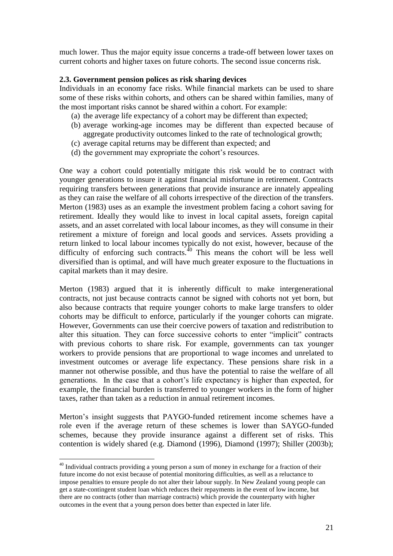much lower. Thus the major equity issue concerns a trade-off between lower taxes on current cohorts and higher taxes on future cohorts. The second issue concerns risk.

#### **2.3. Government pension polices as risk sharing devices**

Individuals in an economy face risks. While financial markets can be used to share some of these risks within cohorts, and others can be shared within families, many of the most important risks cannot be shared within a cohort. For example:

- (a) the average life expectancy of a cohort may be different than expected;
- (b) average working-age incomes may be different than expected because of aggregate productivity outcomes linked to the rate of technological growth;
- (c) average capital returns may be different than expected; and
- (d) the government may expropriate the cohort's resources.

One way a cohort could potentially mitigate this risk would be to contract with younger generations to insure it against financial misfortune in retirement. Contracts requiring transfers between generations that provide insurance are innately appealing as they can raise the welfare of all cohorts irrespective of the direction of the transfers. Merton (1983) uses as an example the investment problem facing a cohort saving for retirement. Ideally they would like to invest in local capital assets, foreign capital assets, and an asset correlated with local labour incomes, as they will consume in their retirement a mixture of foreign and local goods and services. Assets providing a return linked to local labour incomes typically do not exist, however, because of the difficulty of enforcing such contracts. $40$  This means the cohort will be less well diversified than is optimal, and will have much greater exposure to the fluctuations in capital markets than it may desire.

Merton (1983) argued that it is inherently difficult to make intergenerational contracts, not just because contracts cannot be signed with cohorts not yet born, but also because contracts that require younger cohorts to make large transfers to older cohorts may be difficult to enforce, particularly if the younger cohorts can migrate. However, Governments can use their coercive powers of taxation and redistribution to alter this situation. They can force successive cohorts to enter "implicit" contracts with previous cohorts to share risk. For example, governments can tax younger workers to provide pensions that are proportional to wage incomes and unrelated to investment outcomes or average life expectancy. These pensions share risk in a manner not otherwise possible, and thus have the potential to raise the welfare of all generations. In the case that a cohort's life expectancy is higher than expected, for example, the financial burden is transferred to younger workers in the form of higher taxes, rather than taken as a reduction in annual retirement incomes.

Merton's insight suggests that PAYGO-funded retirement income schemes have a role even if the average return of these schemes is lower than SAYGO-funded schemes, because they provide insurance against a different set of risks. This contention is widely shared (e.g. Diamond (1996), Diamond (1997); Shiller (2003b);

 $40$  Individual contracts providing a young person a sum of money in exchange for a fraction of their future income do not exist because of potential monitoring difficulties, as well as a reluctance to impose penalties to ensure people do not alter their labour supply. In New Zealand young people can get a state-contingent student loan which reduces their repayments in the event of low income, but there are no contracts (other than marriage contracts) which provide the counterparty with higher outcomes in the event that a young person does better than expected in later life.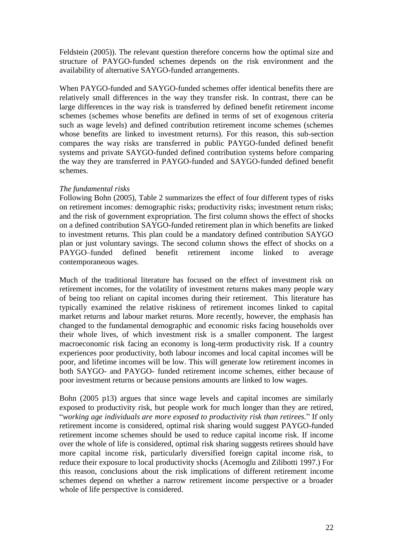Feldstein (2005)). The relevant question therefore concerns how the optimal size and structure of PAYGO-funded schemes depends on the risk environment and the availability of alternative SAYGO-funded arrangements.

When PAYGO-funded and SAYGO-funded schemes offer identical benefits there are relatively small differences in the way they transfer risk. In contrast, there can be large differences in the way risk is transferred by defined benefit retirement income schemes (schemes whose benefits are defined in terms of set of exogenous criteria such as wage levels) and defined contribution retirement income schemes (schemes whose benefits are linked to investment returns). For this reason, this sub-section compares the way risks are transferred in public PAYGO-funded defined benefit systems and private SAYGO-funded defined contribution systems before comparing the way they are transferred in PAYGO-funded and SAYGO-funded defined benefit schemes.

#### *The fundamental risks*

Following Bohn (2005), Table 2 summarizes the effect of four different types of risks on retirement incomes: demographic risks; productivity risks; investment return risks; and the risk of government expropriation. The first column shows the effect of shocks on a defined contribution SAYGO-funded retirement plan in which benefits are linked to investment returns. This plan could be a mandatory defined contribution SAYGO plan or just voluntary savings. The second column shows the effect of shocks on a PAYGO–funded defined benefit retirement income linked to average contemporaneous wages.

Much of the traditional literature has focused on the effect of investment risk on retirement incomes, for the volatility of investment returns makes many people wary of being too reliant on capital incomes during their retirement. This literature has typically examined the relative riskiness of retirement incomes linked to capital market returns and labour market returns. More recently, however, the emphasis has changed to the fundamental demographic and economic risks facing households over their whole lives, of which investment risk is a smaller component. The largest macroeconomic risk facing an economy is long-term productivity risk. If a country experiences poor productivity, both labour incomes and local capital incomes will be poor, and lifetime incomes will be low. This will generate low retirement incomes in both SAYGO- and PAYGO- funded retirement income schemes, either because of poor investment returns or because pensions amounts are linked to low wages.

Bohn (2005 p13) argues that since wage levels and capital incomes are similarly exposed to productivity risk, but people work for much longer than they are retired, "*working age individuals are more exposed to productivity risk than retirees.*" If only retirement income is considered, optimal risk sharing would suggest PAYGO-funded retirement income schemes should be used to reduce capital income risk. If income over the whole of life is considered, optimal risk sharing suggests retirees should have more capital income risk, particularly diversified foreign capital income risk, to reduce their exposure to local productivity shocks (Acemoglu and Zilibotti 1997.) For this reason, conclusions about the risk implications of different retirement income schemes depend on whether a narrow retirement income perspective or a broader whole of life perspective is considered.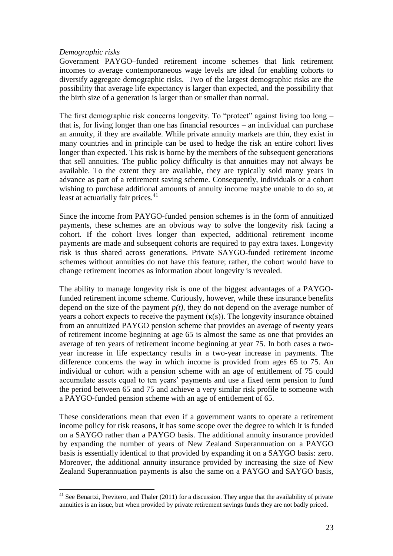#### *Demographic risks*

1

Government PAYGO–funded retirement income schemes that link retirement incomes to average contemporaneous wage levels are ideal for enabling cohorts to diversify aggregate demographic risks. Two of the largest demographic risks are the possibility that average life expectancy is larger than expected, and the possibility that the birth size of a generation is larger than or smaller than normal.

The first demographic risk concerns longevity. To "protect" against living too long – that is, for living longer than one has financial resources – an individual can purchase an annuity, if they are available. While private annuity markets are thin, they exist in many countries and in principle can be used to hedge the risk an entire cohort lives longer than expected. This risk is borne by the members of the subsequent generations that sell annuities. The public policy difficulty is that annuities may not always be available. To the extent they are available, they are typically sold many years in advance as part of a retirement saving scheme. Consequently, individuals or a cohort wishing to purchase additional amounts of annuity income maybe unable to do so, at least at actuarially fair prices.<sup>41</sup>

Since the income from PAYGO-funded pension schemes is in the form of annuitized payments, these schemes are an obvious way to solve the longevity risk facing a cohort. If the cohort lives longer than expected, additional retirement income payments are made and subsequent cohorts are required to pay extra taxes. Longevity risk is thus shared across generations. Private SAYGO-funded retirement income schemes without annuities do not have this feature; rather, the cohort would have to change retirement incomes as information about longevity is revealed.

The ability to manage longevity risk is one of the biggest advantages of a PAYGOfunded retirement income scheme. Curiously, however, while these insurance benefits depend on the size of the payment *p(t),* they do not depend on the average number of years a cohort expects to receive the payment  $(\kappa(s))$ . The longevity insurance obtained from an annuitized PAYGO pension scheme that provides an average of twenty years of retirement income beginning at age 65 is almost the same as one that provides an average of ten years of retirement income beginning at year 75. In both cases a twoyear increase in life expectancy results in a two-year increase in payments. The difference concerns the way in which income is provided from ages 65 to 75. An individual or cohort with a pension scheme with an age of entitlement of 75 could accumulate assets equal to ten years' payments and use a fixed term pension to fund the period between 65 and 75 and achieve a very similar risk profile to someone with a PAYGO-funded pension scheme with an age of entitlement of 65.

These considerations mean that even if a government wants to operate a retirement income policy for risk reasons, it has some scope over the degree to which it is funded on a SAYGO rather than a PAYGO basis. The additional annuity insurance provided by expanding the number of years of New Zealand Superannuation on a PAYGO basis is essentially identical to that provided by expanding it on a SAYGO basis: zero. Moreover, the additional annuity insurance provided by increasing the size of New Zealand Superannuation payments is also the same on a PAYGO and SAYGO basis,

 $41$  See Benartzi. Previtero, and Thaler (2011) for a discussion. They argue that the availability of private annuities is an issue, but when provided by private retirement savings funds they are not badly priced.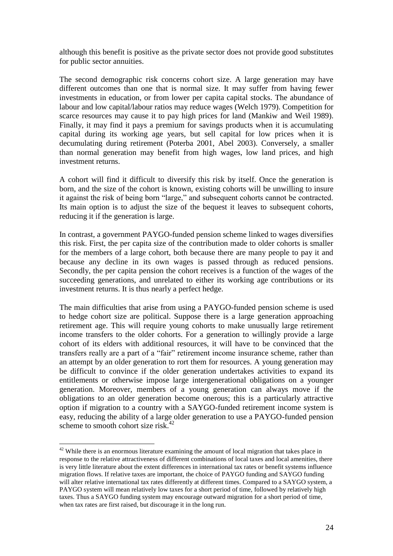although this benefit is positive as the private sector does not provide good substitutes for public sector annuities.

The second demographic risk concerns cohort size. A large generation may have different outcomes than one that is normal size. It may suffer from having fewer investments in education, or from lower per capita capital stocks. The abundance of labour and low capital/labour ratios may reduce wages (Welch 1979). Competition for scarce resources may cause it to pay high prices for land (Mankiw and Weil 1989). Finally, it may find it pays a premium for savings products when it is accumulating capital during its working age years, but sell capital for low prices when it is decumulating during retirement (Poterba 2001, Abel 2003). Conversely, a smaller than normal generation may benefit from high wages, low land prices, and high investment returns.

A cohort will find it difficult to diversify this risk by itself. Once the generation is born, and the size of the cohort is known, existing cohorts will be unwilling to insure it against the risk of being born "large," and subsequent cohorts cannot be contracted. Its main option is to adjust the size of the bequest it leaves to subsequent cohorts, reducing it if the generation is large.

In contrast, a government PAYGO-funded pension scheme linked to wages diversifies this risk. First, the per capita size of the contribution made to older cohorts is smaller for the members of a large cohort, both because there are many people to pay it and because any decline in its own wages is passed through as reduced pensions. Secondly, the per capita pension the cohort receives is a function of the wages of the succeeding generations, and unrelated to either its working age contributions or its investment returns. It is thus nearly a perfect hedge.

The main difficulties that arise from using a PAYGO-funded pension scheme is used to hedge cohort size are political. Suppose there is a large generation approaching retirement age. This will require young cohorts to make unusually large retirement income transfers to the older cohorts. For a generation to willingly provide a large cohort of its elders with additional resources, it will have to be convinced that the transfers really are a part of a "fair" retirement income insurance scheme, rather than an attempt by an older generation to rort them for resources. A young generation may be difficult to convince if the older generation undertakes activities to expand its entitlements or otherwise impose large intergenerational obligations on a younger generation. Moreover, members of a young generation can always move if the obligations to an older generation become onerous; this is a particularly attractive option if migration to a country with a SAYGO-funded retirement income system is easy, reducing the ability of a large older generation to use a PAYGO-funded pension scheme to smooth cohort size risk. $42$ 

 $42$  While there is an enormous literature examining the amount of local migration that takes place in response to the relative attractiveness of different combinations of local taxes and local amenities, there is very little literature about the extent differences in international tax rates or benefit systems influence migration flows. If relative taxes are important, the choice of PAYGO funding and SAYGO funding will alter relative international tax rates differently at different times. Compared to a SAYGO system, a PAYGO system will mean relatively low taxes for a short period of time, followed by relatively high taxes. Thus a SAYGO funding system may encourage outward migration for a short period of time, when tax rates are first raised, but discourage it in the long run.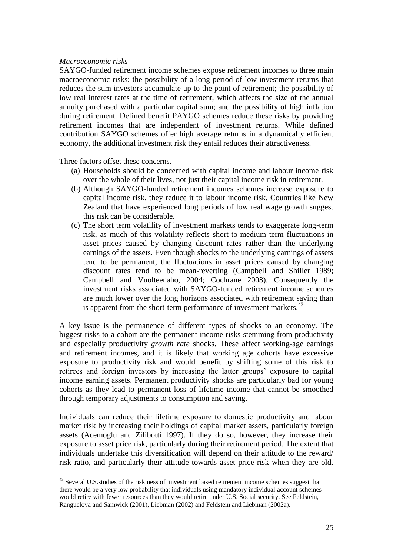#### *Macroeconomic risks*

1

SAYGO-funded retirement income schemes expose retirement incomes to three main macroeconomic risks: the possibility of a long period of low investment returns that reduces the sum investors accumulate up to the point of retirement; the possibility of low real interest rates at the time of retirement, which affects the size of the annual annuity purchased with a particular capital sum; and the possibility of high inflation during retirement. Defined benefit PAYGO schemes reduce these risks by providing retirement incomes that are independent of investment returns. While defined contribution SAYGO schemes offer high average returns in a dynamically efficient economy, the additional investment risk they entail reduces their attractiveness.

Three factors offset these concerns.

- (a) Households should be concerned with capital income and labour income risk over the whole of their lives, not just their capital income risk in retirement.
- (b) Although SAYGO-funded retirement incomes schemes increase exposure to capital income risk, they reduce it to labour income risk. Countries like New Zealand that have experienced long periods of low real wage growth suggest this risk can be considerable.
- (c) The short term volatility of investment markets tends to exaggerate long-term risk, as much of this volatility reflects short-to-medium term fluctuations in asset prices caused by changing discount rates rather than the underlying earnings of the assets. Even though shocks to the underlying earnings of assets tend to be permanent, the fluctuations in asset prices caused by changing discount rates tend to be mean-reverting (Campbell and Shiller 1989; Campbell and Vuolteenaho, 2004; Cochrane 2008). Consequently the investment risks associated with SAYGO-funded retirement income schemes are much lower over the long horizons associated with retirement saving than is apparent from the short-term performance of investment markets.<sup>43</sup>

A key issue is the permanence of different types of shocks to an economy. The biggest risks to a cohort are the permanent income risks stemming from productivity and especially productivity *growth rate* shocks. These affect working-age earnings and retirement incomes, and it is likely that working age cohorts have excessive exposure to productivity risk and would benefit by shifting some of this risk to retirees and foreign investors by increasing the latter groups' exposure to capital income earning assets. Permanent productivity shocks are particularly bad for young cohorts as they lead to permanent loss of lifetime income that cannot be smoothed through temporary adjustments to consumption and saving.

Individuals can reduce their lifetime exposure to domestic productivity and labour market risk by increasing their holdings of capital market assets, particularly foreign assets (Acemoglu and Zilibotti 1997). If they do so, however, they increase their exposure to asset price risk, particularly during their retirement period. The extent that individuals undertake this diversification will depend on their attitude to the reward/ risk ratio, and particularly their attitude towards asset price risk when they are old.

<sup>&</sup>lt;sup>43</sup> Several U.S. studies of the riskiness of investment based retirement income schemes suggest that there would be a very low probability that individuals using mandatory individual account schemes would retire with fewer resources than they would retire under U.S. Social security. See Feldstein, Ranguelova and Samwick (2001), Liebman (2002) and Feldstein and Liebman (2002a).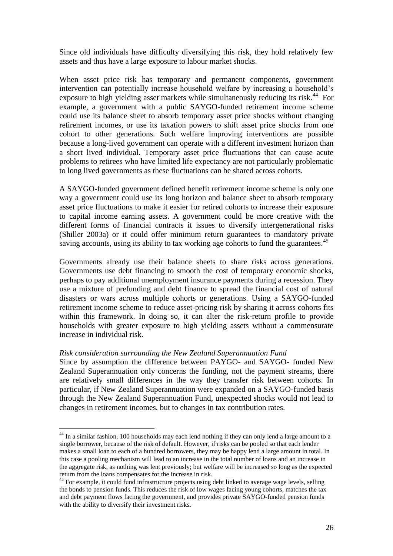Since old individuals have difficulty diversifying this risk, they hold relatively few assets and thus have a large exposure to labour market shocks.

When asset price risk has temporary and permanent components, government intervention can potentially increase household welfare by increasing a household's exposure to high yielding asset markets while simultaneously reducing its risk.<sup>44</sup> For example, a government with a public SAYGO-funded retirement income scheme could use its balance sheet to absorb temporary asset price shocks without changing retirement incomes, or use its taxation powers to shift asset price shocks from one cohort to other generations. Such welfare improving interventions are possible because a long-lived government can operate with a different investment horizon than a short lived individual. Temporary asset price fluctuations that can cause acute problems to retirees who have limited life expectancy are not particularly problematic to long lived governments as these fluctuations can be shared across cohorts.

A SAYGO-funded government defined benefit retirement income scheme is only one way a government could use its long horizon and balance sheet to absorb temporary asset price fluctuations to make it easier for retired cohorts to increase their exposure to capital income earning assets. A government could be more creative with the different forms of financial contracts it issues to diversify intergenerational risks (Shiller 2003a) or it could offer minimum return guarantees to mandatory private saving accounts, using its ability to tax working age cohorts to fund the guarantees.<sup>45</sup>

Governments already use their balance sheets to share risks across generations. Governments use debt financing to smooth the cost of temporary economic shocks, perhaps to pay additional unemployment insurance payments during a recession. They use a mixture of prefunding and debt finance to spread the financial cost of natural disasters or wars across multiple cohorts or generations. Using a SAYGO-funded retirement income scheme to reduce asset-pricing risk by sharing it across cohorts fits within this framework. In doing so, it can alter the risk-return profile to provide households with greater exposure to high yielding assets without a commensurate increase in individual risk.

#### *Risk consideration surrounding the New Zealand Superannuation Fund*

1

Since by assumption the difference between PAYGO- and SAYGO- funded New Zealand Superannuation only concerns the funding, not the payment streams, there are relatively small differences in the way they transfer risk between cohorts. In particular, if New Zealand Superannuation were expanded on a SAYGO-funded basis through the New Zealand Superannuation Fund, unexpected shocks would not lead to changes in retirement incomes, but to changes in tax contribution rates.

 $44$  In a similar fashion, 100 households may each lend nothing if they can only lend a large amount to a single borrower, because of the risk of default. However, if risks can be pooled so that each lender makes a small loan to each of a hundred borrowers, they may be happy lend a large amount in total. In this case a pooling mechanism will lead to an increase in the total number of loans and an increase in the aggregate risk, as nothing was lent previously; but welfare will be increased so long as the expected return from the loans compensates for the increase in risk.

 $45$  For example, it could fund infrastructure projects using debt linked to average wage levels, selling the bonds to pension funds. This reduces the risk of low wages facing young cohorts, matches the tax and debt payment flows facing the government, and provides private SAYGO-funded pension funds with the ability to diversify their investment risks.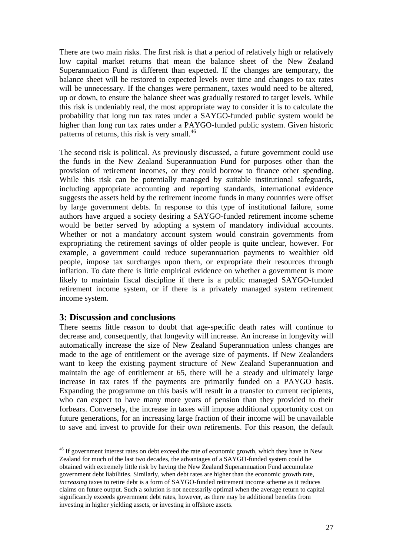There are two main risks. The first risk is that a period of relatively high or relatively low capital market returns that mean the balance sheet of the New Zealand Superannuation Fund is different than expected. If the changes are temporary, the balance sheet will be restored to expected levels over time and changes to tax rates will be unnecessary. If the changes were permanent, taxes would need to be altered, up or down, to ensure the balance sheet was gradually restored to target levels. While this risk is undeniably real, the most appropriate way to consider it is to calculate the probability that long run tax rates under a SAYGO-funded public system would be higher than long run tax rates under a PAYGO-funded public system. Given historic patterns of returns, this risk is very small.<sup>46</sup>

The second risk is political. As previously discussed, a future government could use the funds in the New Zealand Superannuation Fund for purposes other than the provision of retirement incomes, or they could borrow to finance other spending. While this risk can be potentially managed by suitable institutional safeguards, including appropriate accounting and reporting standards, international evidence suggests the assets held by the retirement income funds in many countries were offset by large government debts. In response to this type of institutional failure, some authors have argued a society desiring a SAYGO-funded retirement income scheme would be better served by adopting a system of mandatory individual accounts. Whether or not a mandatory account system would constrain governments from expropriating the retirement savings of older people is quite unclear, however. For example, a government could reduce superannuation payments to wealthier old people, impose tax surcharges upon them, or expropriate their resources through inflation. To date there is little empirical evidence on whether a government is more likely to maintain fiscal discipline if there is a public managed SAYGO-funded retirement income system, or if there is a privately managed system retirement income system.

## **3: Discussion and conclusions**

1

There seems little reason to doubt that age-specific death rates will continue to decrease and, consequently, that longevity will increase. An increase in longevity will automatically increase the size of New Zealand Superannuation unless changes are made to the age of entitlement or the average size of payments. If New Zealanders want to keep the existing payment structure of New Zealand Superannuation and maintain the age of entitlement at 65, there will be a steady and ultimately large increase in tax rates if the payments are primarily funded on a PAYGO basis. Expanding the programme on this basis will result in a transfer to current recipients, who can expect to have many more years of pension than they provided to their forbears. Conversely, the increase in taxes will impose additional opportunity cost on future generations, for an increasing large fraction of their income will be unavailable to save and invest to provide for their own retirements. For this reason, the default

<sup>&</sup>lt;sup>46</sup> If government interest rates on debt exceed the rate of economic growth, which they have in New Zealand for much of the last two decades, the advantages of a SAYGO-funded system could be obtained with extremely little risk by having the New Zealand Superannuation Fund accumulate government debt liabilities. Similarly, when debt rates are higher than the economic growth rate, *increasing* taxes to retire debt is a form of SAYGO-funded retirement income scheme as it reduces claims on future output. Such a solution is not necessarily optimal when the average return to capital significantly exceeds government debt rates, however, as there may be additional benefits from investing in higher yielding assets, or investing in offshore assets.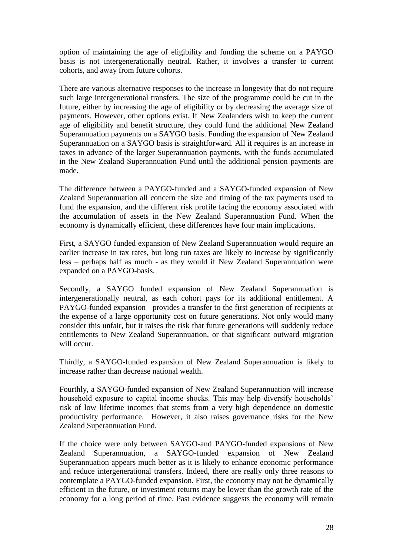option of maintaining the age of eligibility and funding the scheme on a PAYGO basis is not intergenerationally neutral. Rather, it involves a transfer to current cohorts, and away from future cohorts.

There are various alternative responses to the increase in longevity that do not require such large intergenerational transfers. The size of the programme could be cut in the future, either by increasing the age of eligibility or by decreasing the average size of payments. However, other options exist. If New Zealanders wish to keep the current age of eligibility and benefit structure, they could fund the additional New Zealand Superannuation payments on a SAYGO basis. Funding the expansion of New Zealand Superannuation on a SAYGO basis is straightforward. All it requires is an increase in taxes in advance of the larger Superannuation payments, with the funds accumulated in the New Zealand Superannuation Fund until the additional pension payments are made.

The difference between a PAYGO-funded and a SAYGO-funded expansion of New Zealand Superannuation all concern the size and timing of the tax payments used to fund the expansion, and the different risk profile facing the economy associated with the accumulation of assets in the New Zealand Superannuation Fund. When the economy is dynamically efficient, these differences have four main implications.

First, a SAYGO funded expansion of New Zealand Superannuation would require an earlier increase in tax rates, but long run taxes are likely to increase by significantly less – perhaps half as much - as they would if New Zealand Superannuation were expanded on a PAYGO-basis.

Secondly*,* a SAYGO funded expansion of New Zealand Superannuation is intergenerationally neutral, as each cohort pays for its additional entitlement. A PAYGO-funded expansion provides a transfer to the first generation of recipients at the expense of a large opportunity cost on future generations. Not only would many consider this unfair, but it raises the risk that future generations will suddenly reduce entitlements to New Zealand Superannuation, or that significant outward migration will occur.

Thirdly, a SAYGO-funded expansion of New Zealand Superannuation is likely to increase rather than decrease national wealth.

Fourthly, a SAYGO-funded expansion of New Zealand Superannuation will increase household exposure to capital income shocks. This may help diversify households' risk of low lifetime incomes that stems from a very high dependence on domestic productivity performance. However, it also raises governance risks for the New Zealand Superannuation Fund.

If the choice were only between SAYGO-and PAYGO-funded expansions of New Zealand Superannuation, a SAYGO-funded expansion of New Zealand Superannuation appears much better as it is likely to enhance economic performance and reduce intergenerational transfers. Indeed, there are really only three reasons to contemplate a PAYGO-funded expansion. First, the economy may not be dynamically efficient in the future, or investment returns may be lower than the growth rate of the economy for a long period of time. Past evidence suggests the economy will remain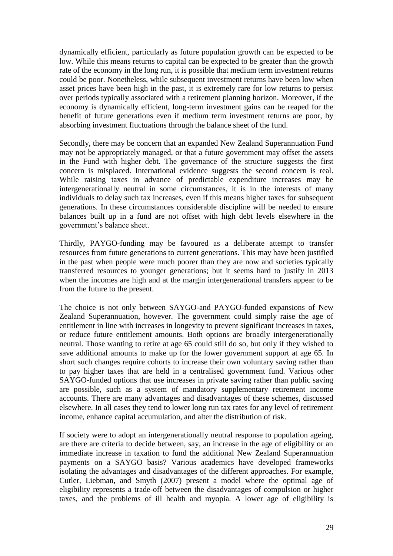dynamically efficient, particularly as future population growth can be expected to be low. While this means returns to capital can be expected to be greater than the growth rate of the economy in the long run, it is possible that medium term investment returns could be poor. Nonetheless, while subsequent investment returns have been low when asset prices have been high in the past, it is extremely rare for low returns to persist over periods typically associated with a retirement planning horizon. Moreover, if the economy is dynamically efficient, long-term investment gains can be reaped for the benefit of future generations even if medium term investment returns are poor, by absorbing investment fluctuations through the balance sheet of the fund.

Secondly, there may be concern that an expanded New Zealand Superannuation Fund may not be appropriately managed, or that a future government may offset the assets in the Fund with higher debt. The governance of the structure suggests the first concern is misplaced. International evidence suggests the second concern is real. While raising taxes in advance of predictable expenditure increases may be intergenerationally neutral in some circumstances, it is in the interests of many individuals to delay such tax increases, even if this means higher taxes for subsequent generations. In these circumstances considerable discipline will be needed to ensure balances built up in a fund are not offset with high debt levels elsewhere in the government's balance sheet.

Thirdly, PAYGO-funding may be favoured as a deliberate attempt to transfer resources from future generations to current generations. This may have been justified in the past when people were much poorer than they are now and societies typically transferred resources to younger generations; but it seems hard to justify in 2013 when the incomes are high and at the margin intergenerational transfers appear to be from the future to the present.

The choice is not only between SAYGO-and PAYGO-funded expansions of New Zealand Superannuation, however. The government could simply raise the age of entitlement in line with increases in longevity to prevent significant increases in taxes, or reduce future entitlement amounts. Both options are broadly intergenerationally neutral. Those wanting to retire at age 65 could still do so, but only if they wished to save additional amounts to make up for the lower government support at age 65. In short such changes require cohorts to increase their own voluntary saving rather than to pay higher taxes that are held in a centralised government fund. Various other SAYGO-funded options that use increases in private saving rather than public saving are possible, such as a system of mandatory supplementary retirement income accounts. There are many advantages and disadvantages of these schemes, discussed elsewhere. In all cases they tend to lower long run tax rates for any level of retirement income, enhance capital accumulation, and alter the distribution of risk.

If society were to adopt an intergenerationally neutral response to population ageing, are there are criteria to decide between, say, an increase in the age of eligibility or an immediate increase in taxation to fund the additional New Zealand Superannuation payments on a SAYGO basis? Various academics have developed frameworks isolating the advantages and disadvantages of the different approaches. For example, Cutler, Liebman, and Smyth (2007) present a model where the optimal age of eligibility represents a trade-off between the disadvantages of compulsion or higher taxes, and the problems of ill health and myopia. A lower age of eligibility is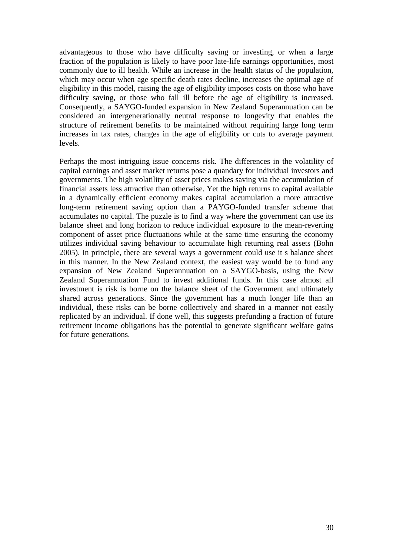advantageous to those who have difficulty saving or investing, or when a large fraction of the population is likely to have poor late-life earnings opportunities, most commonly due to ill health. While an increase in the health status of the population, which may occur when age specific death rates decline, increases the optimal age of eligibility in this model, raising the age of eligibility imposes costs on those who have difficulty saving, or those who fall ill before the age of eligibility is increased. Consequently, a SAYGO-funded expansion in New Zealand Superannuation can be considered an intergenerationally neutral response to longevity that enables the structure of retirement benefits to be maintained without requiring large long term increases in tax rates, changes in the age of eligibility or cuts to average payment levels.

Perhaps the most intriguing issue concerns risk. The differences in the volatility of capital earnings and asset market returns pose a quandary for individual investors and governments. The high volatility of asset prices makes saving via the accumulation of financial assets less attractive than otherwise. Yet the high returns to capital available in a dynamically efficient economy makes capital accumulation a more attractive long-term retirement saving option than a PAYGO-funded transfer scheme that accumulates no capital. The puzzle is to find a way where the government can use its balance sheet and long horizon to reduce individual exposure to the mean-reverting component of asset price fluctuations while at the same time ensuring the economy utilizes individual saving behaviour to accumulate high returning real assets (Bohn 2005). In principle, there are several ways a government could use it s balance sheet in this manner. In the New Zealand context, the easiest way would be to fund any expansion of New Zealand Superannuation on a SAYGO-basis, using the New Zealand Superannuation Fund to invest additional funds. In this case almost all investment is risk is borne on the balance sheet of the Government and ultimately shared across generations. Since the government has a much longer life than an individual, these risks can be borne collectively and shared in a manner not easily replicated by an individual. If done well, this suggests prefunding a fraction of future retirement income obligations has the potential to generate significant welfare gains for future generations.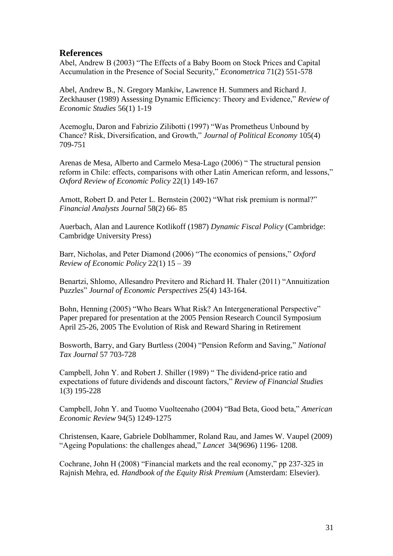## **References**

Abel, Andrew B (2003) "The Effects of a Baby Boom on Stock Prices and Capital Accumulation in the Presence of Social Security," *Econometrica* 71(2) 551-578

Abel, Andrew B., N. Gregory Mankiw, Lawrence H. Summers and Richard J. Zeckhauser (1989) Assessing Dynamic Efficiency: Theory and Evidence," *Review of Economic Studies* 56(1) 1-19

Acemoglu, Daron and Fabrizio Zilibotti (1997) "Was Prometheus Unbound by Chance? Risk, Diversification, and Growth," *Journal of Political Economy* 105(4) 709-751

Arenas de Mesa, Alberto and Carmelo Mesa-Lago (2006) " The structural pension reform in Chile: effects, comparisons with other Latin American reform, and lessons," *Oxford Review of Economic Policy* 22(1) 149-167

Arnott, Robert D. and Peter L. Bernstein (2002) "What risk premium is normal?" *Financial Analysts Journal* 58(2) 66- 85

Auerbach, Alan and Laurence Kotlikoff (1987) *Dynamic Fiscal Policy* (Cambridge: Cambridge University Press)

Barr, Nicholas, and Peter Diamond (2006) "The economics of pensions," *Oxford Review of Economic Policy* 22(1) 15 – 39

Benartzi, Shlomo, Allesandro Previtero and Richard H. Thaler (2011) "Annuitization Puzzles" *Journal of Economic Perspectives* 25(4) 143-164.

Bohn, Henning (2005) "Who Bears What Risk? An Intergenerational Perspective" Paper prepared for presentation at the 2005 Pension Research Council Symposium April 25-26, 2005 The Evolution of Risk and Reward Sharing in Retirement

Bosworth, Barry, and Gary Burtless (2004) "Pension Reform and Saving," *National Tax Journal* 57 703-728

Campbell, John Y. and Robert J. Shiller (1989) " The dividend-price ratio and expectations of future dividends and discount factors," *Review of Financial Studies*  1(3) 195-228

Campbell, John Y. and Tuomo Vuolteenaho (2004) "Bad Beta, Good beta," *American Economic Review* 94(5) 1249-1275

Christensen, Kaare, Gabriele Doblhammer, Roland Rau, and James W. Vaupel (2009) "Ageing Populations: the challenges ahead," *Lancet* 34(9696) 1196- 1208.

Cochrane, John H (2008) "Financial markets and the real economy," pp 237-325 in Rajnish Mehra, ed. *Handbook of the Equity Risk Premium* (Amsterdam: Elsevier).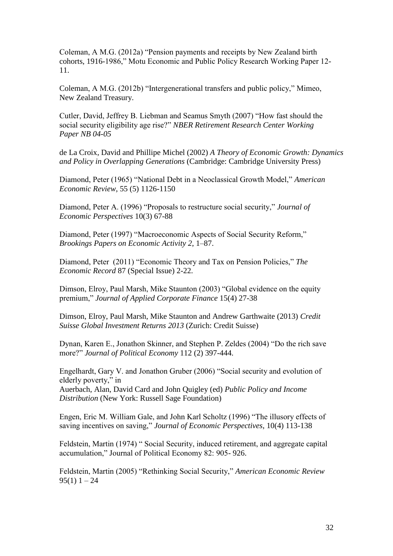Coleman, A M.G. (2012a) "Pension payments and receipts by New Zealand birth cohorts, 1916-1986," Motu Economic and Public Policy Research Working Paper 12- 11.

Coleman, A M.G. (2012b) "Intergenerational transfers and public policy," Mimeo, New Zealand Treasury.

Cutler, David, Jeffrey B. Liebman and Seamus Smyth (2007) "How fast should the social security eligibility age rise?" *NBER Retirement Research Center Working Paper NB 04-05*

de La Croix, David and Phillipe Michel (2002) *A Theory of Economic Growth: Dynamics and Policy in Overlapping Generations* (Cambridge: Cambridge University Press)

Diamond, Peter (1965) "National Debt in a Neoclassical Growth Model," *American Economic Review*, 55 (5) 1126-1150

Diamond, Peter A. (1996) "Proposals to restructure social security," *Journal of Economic Perspectives* 10(3) 67-88

Diamond, Peter (1997) "Macroeconomic Aspects of Social Security Reform," *Brookings Papers on Economic Activity 2*, 1–87.

Diamond, Peter (2011) "Economic Theory and Tax on Pension Policies," *The Economic Record* 87 (Special Issue) 2-22.

Dimson, Elroy, Paul Marsh, Mike Staunton (2003) "Global evidence on the equity premium," *Journal of Applied Corporate Finance* 15(4) 27-38

Dimson, Elroy, Paul Marsh, Mike Staunton and Andrew Garthwaite (2013) *Credit Suisse Global Investment Returns 2013* (Zurich: Credit Suisse)

Dynan, Karen E., Jonathon Skinner, and Stephen P. Zeldes (2004) "Do the rich save more?" *Journal of Political Economy* 112 (2) 397-444.

Engelhardt, Gary V. and Jonathon Gruber (2006) "Social security and evolution of elderly poverty," in

Auerbach, Alan, David Card and John Quigley (ed) *Public Policy and Income Distribution* (New York: Russell Sage Foundation)

Engen, Eric M. William Gale, and John Karl Scholtz (1996) "The illusory effects of saving incentives on saving," *Journal of Economic Perspectives*, 10(4) 113-138

Feldstein, Martin (1974) " Social Security, induced retirement, and aggregate capital accumulation," Journal of Political Economy 82: 905- 926.

Feldstein, Martin (2005) "Rethinking Social Security," *American Economic Review*   $95(1)$  1 – 24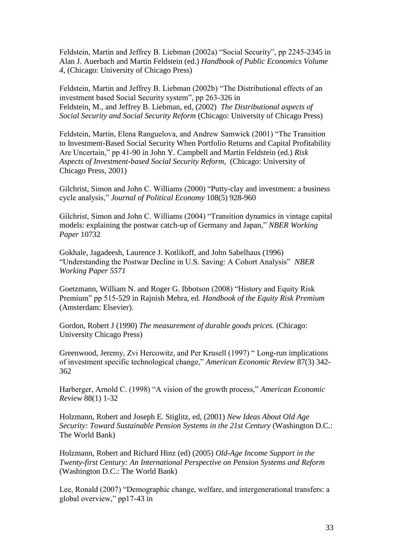Feldstein, Martin and Jeffrey B. Liebman (2002a) "Social Security", pp 2245-2345 in Alan J. Auerbach and Martin Feldstein (ed.) *Handbook of Public Economics Volume 4*, (Chicago: University of Chicago Press)

Feldstein, Martin and Jeffrey B. Liebman (2002b) "The Distributional effects of an investment based Social Security system", pp 263-326 in Feldstein, M., and Jeffrey B. Liebman, ed, (2002) *The Distributional aspects of Social Security and Social Security Reform* (Chicago: University of Chicago Press)

Feldstein, Martin, Elena Ranguelova, and Andrew Samwick (2001) "The Transition to Investment-Based Social Security When Portfolio Returns and Capital Profitability Are Uncertain," pp 41-90 in John Y. Campbell and Martin Feldstein (ed.) *Risk Aspects of Investment-based Social Security Reform*, (Chicago: University of Chicago Press, 2001)

Gilchrist, Simon and John C. Williams (2000) "Putty-clay and investment: a business cycle analysis," *Journal of Political Economy* 108(5) 928-960

Gilchrist, Simon and John C. Williams (2004) "Transition dynamics in vintage capital models: explaining the postwar catch-up of Germany and Japan," *NBER Working Paper* 10732

Gokhale, Jagadeesh, Laurence J. Kotlikoff, and John Sabelhaus (1996) "Understanding the Postwar Decline in U.S. Saving: A Cohort Analysis" *NBER Working Paper 5571*

Goetzmann, William N. and Roger G. Ibbotson (2008) "History and Equity Risk Premium" pp 515-529 in Rajnish Mehra, ed. *Handbook of the Equity Risk Premium*  (Amsterdam: Elsevier).

Gordon, Robert J (1990) *The measurement of durable goods prices.* (Chicago: University Chicago Press)

Greenwood, Jeremy, Zvi Hercowitz, and Per Krusell (1997) " Long-run implications of investment specific technological change," *American Economic Review* 87(3) 342- 362

Harberger, Arnold C. (1998) "A vision of the growth process," *American Economic Review* 88(1) 1-32

Holzmann, Robert and Joseph E. Stiglitz, ed, (2001) *New Ideas About Old Age Security: Toward Sustainable Pension Systems in the 21st Century* (Washington D.C.: The World Bank)

Holzmann, Robert and Richard Hinz (ed) (2005) *Old-Age Income Support in the Twenty-first Century: An International Perspective on Pension Systems and Reform*  (Washington D.C.: The World Bank)

Lee, Ronald (2007) "Demographic change, welfare, and intergenerational transfers: a global overview," pp17-43 in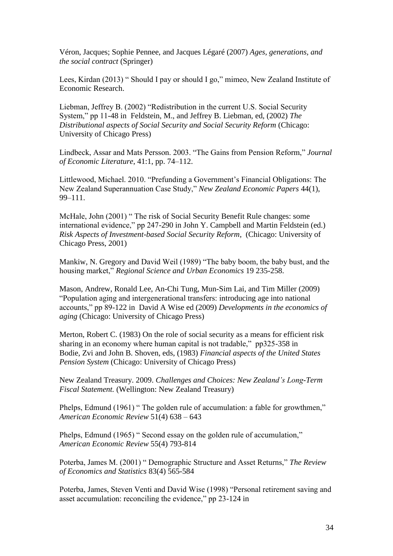Véron, Jacques; Sophie Pennee, and Jacques Légaré (2007) *Ages, generations, and the social contract* (Springer)

Lees, Kirdan (2013) " Should I pay or should I go," mimeo, New Zealand Institute of Economic Research.

Liebman, Jeffrey B. (2002) "Redistribution in the current U.S. Social Security System," pp 11-48 in Feldstein, M., and Jeffrey B. Liebman, ed, (2002) *The Distributional aspects of Social Security and Social Security Reform* (Chicago: University of Chicago Press)

Lindbeck, Assar and Mats Persson. 2003. "The Gains from Pension Reform," *Journal of Economic Literature*, 41:1, pp. 74–112.

Littlewood, Michael. 2010. "Prefunding a Government's Financial Obligations: The New Zealand Superannuation Case Study," *New Zealand Economic Papers* 44(1), 99–111.

McHale, John (2001) " The risk of Social Security Benefit Rule changes: some international evidence," pp 247-290 in John Y. Campbell and Martin Feldstein (ed.) *Risk Aspects of Investment-based Social Security Reform*, (Chicago: University of Chicago Press, 2001)

Mankiw, N. Gregory and David Weil (1989) "The baby boom, the baby bust, and the housing market," *Regional Science and Urban Economics* 19 235-258.

Mason, Andrew, Ronald Lee, An-Chi Tung, Mun-Sim Lai, and Tim Miller (2009) "Population aging and intergenerational transfers: introducing age into national accounts," pp 89-122 in David A Wise ed (2009) *Developments in the economics of aging* (Chicago: University of Chicago Press)

Merton, Robert C. (1983) On the role of social security as a means for efficient risk sharing in an economy where human capital is not tradable," pp325-358 in Bodie, Zvi and John B. Shoven, eds, (1983) *Financial aspects of the United States Pension System* (Chicago: University of Chicago Press)

New Zealand Treasury. 2009. *Challenges and Choices: New Zealand's Long-Term Fiscal Statement.* (Wellington: New Zealand Treasury)

Phelps, Edmund (1961) " The golden rule of accumulation: a fable for growthmen," *American Economic Review* 51(4) 638 – 643

Phelps, Edmund (1965) " Second essay on the golden rule of accumulation," *American Economic Review* 55(4) 793-814

Poterba, James M. (2001) " Demographic Structure and Asset Returns," *The Review of Economics and Statistics* 83(4) 565-584

Poterba, James, Steven Venti and David Wise (1998) "Personal retirement saving and asset accumulation: reconciling the evidence," pp 23-124 in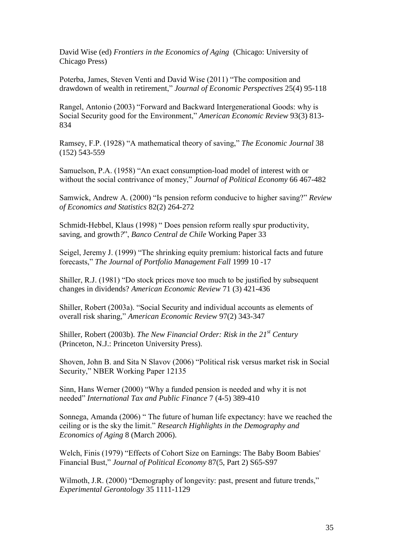David Wise (ed) *Frontiers in the Economics of Aging* (Chicago: University of Chicago Press)

Poterba, James, Steven Venti and David Wise (2011) "The composition and drawdown of wealth in retirement," *Journal of Economic Perspectives* 25(4) 95-118

Rangel, Antonio (2003) "Forward and Backward Intergenerational Goods: why is Social Security good for the Environment," *American Economic Review* 93(3) 813- 834

Ramsey, F.P. (1928) "A mathematical theory of saving," *The Economic Journal* 38 (152) 543-559

Samuelson, P.A. (1958) "An exact consumption-load model of interest with or without the social contrivance of money," *Journal of Political Economy* 66 467-482

Samwick, Andrew A. (2000) "Is pension reform conducive to higher saving?" *Review of Economics and Statistics* 82(2) 264-272

Schmidt-Hebbel, Klaus (1998) " Does pension reform really spur productivity, saving, and growth*?*", *Banco Central de Chile* Working Paper 33

Seigel, Jeremy J. (1999) "The shrinking equity premium: historical facts and future forecasts," *The Journal of Portfolio Management Fall* 1999 10 -17

Shiller, R.J. (1981) "Do stock prices move too much to be justified by subsequent changes in dividends? *American Economic Review* 71 (3) 421-436

Shiller, Robert (2003a). "Social Security and individual accounts as elements of overall risk sharing," *American Economic Review* 97(2) 343-347

Shiller, Robert (2003b). *The New Financial Order: Risk in the 21st Century*  (Princeton, N.J.: Princeton University Press).

Shoven, John B. and Sita N Slavov (2006) "Political risk versus market risk in Social Security," NBER Working Paper 12135

Sinn, Hans Werner (2000) "Why a funded pension is needed and why it is not needed" *International Tax and Public Finance* 7 (4-5) 389-410

Sonnega, Amanda (2006) " The future of human life expectancy: have we reached the ceiling or is the sky the limit." *Research Highlights in the Demography and Economics of Aging* 8 (March 2006).

Welch, Finis (1979) "Effects of Cohort Size on Earnings: The Baby Boom Babies' Financial Bust," *Journal of Political Economy* 87(5, Part 2) S65-S97

Wilmoth, J.R. (2000) "Demography of longevity: past, present and future trends," *Experimental Gerontology* 35 1111-1129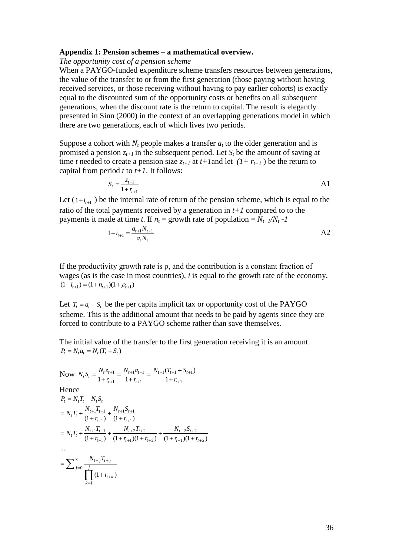#### **Appendix 1: Pension schemes – a mathematical overview.**

#### *The opportunity cost of a pension scheme*

When a PAYGO-funded expenditure scheme transfers resources between generations, the value of the transfer to or from the first generation (those paying without having received services, or those receiving without having to pay earlier cohorts) is exactly equal to the discounted sum of the opportunity costs or benefits on all subsequent generations, when the discount rate is the return to capital. The result is elegantly presented in Sinn (2000) in the context of an overlapping generations model in which there are two generations, each of which lives two periods.

Suppose a cohort with  $N_t$  people makes a transfer  $a_t$  to the older generation and is promised a pension  $z_{t+1}$  in the subsequent period. Let  $S_t$  be the amount of saving at time *t* needed to create a pension size  $z_{t+1}$  at  $t+1$  and let  $(1+r_{t+1})$  be the return to capital from period  $t$  to  $t+1$ . It follows:

$$
S_t = \frac{z_{t+1}}{1 + r_{t+1}}
$$

Let  $(1+i_{i+1})$  be the internal rate of return of the pension scheme, which is equal to the ratio of the total payments received by a generation in *t+1* compared to to the payments it made at time *t*. If  $n_t$  = growth rate of population =  $N_{t+1}/N_t$  -1

$$
1 + i_{t+1} = \frac{a_{t+1} N_{t+1}}{a_t N_t}
$$

If the productivity growth rate is  $\rho$ , and the contribution is a constant fraction of wages (as is the case in most countries), *i* is equal to the growth rate of the economy,  $(1 + i<sub>t+1</sub>) = (1 + n<sub>t+1</sub>)(1 + \rho<sub>t+1</sub>)$ 

Let  $T_t = a_t - S_t$  be the per capita implicit tax or opportunity cost of the PAYGO scheme. This is the additional amount that needs to be paid by agents since they are forced to contribute to a PAYGO scheme rather than save themselves.

The initial value of the transfer to the first generation receiving it is an amount  $P_t = N_t a_t = N_t (T_t + S_t)$ 

Now 
$$
N_t S_t = \frac{N_t z_{t+1}}{1 + r_{t+1}} = \frac{N_{t+1} a_{t+1}}{1 + r_{t+1}} = \frac{N_{t+1} (T_{t+1} + S_{t+1})}{1 + r_{t+1}}
$$
  
\nHence  
\n $P_t = N_t T_t + N_t S_t$   
\n $= N_t T_t + \frac{N_{t+1} T_{t+1}}{(1 + r_{t+1})} + \frac{N_{t+1} S_{t+1}}{(1 + r_{t+1})}$   
\n $= N_t T_t + \frac{N_{t+1} T_{t+1}}{(1 + r_{t+1})} + \frac{N_{t+2} T_{t+2}}{(1 + r_{t+1}) (1 + r_{t+2})} + \frac{N_{t+2} S_{t+2}}{(1 + r_{t+1}) (1 + r_{t+2})}$   
\n...  
\n $= \sum_{j=0}^{\infty} \frac{N_{t+j} T_{t+j}}{\prod_{k=1}^{j} (1 + r_{t+k})}$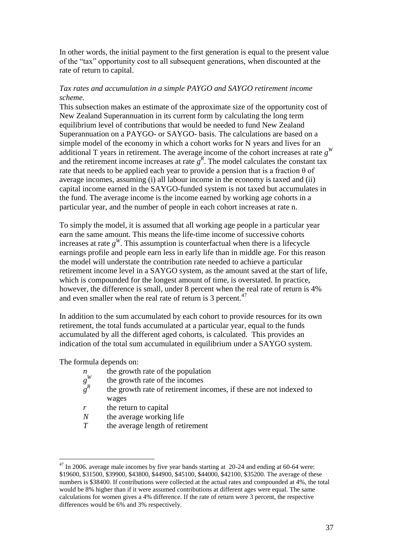In other words, the initial payment to the first generation is equal to the present value of the "tax" opportunity cost to all subsequent generations, when discounted at the rate of return to capital.

### *Tax rates and accumulation in a simple PAYGO and SAYGO retirement income scheme.*

This subsection makes an estimate of the approximate size of the opportunity cost of New Zealand Superannuation in its current form by calculating the long term equilibrium level of contributions that would be needed to fund New Zealand Superannuation on a PAYGO- or SAYGO- basis. The calculations are based on a simple model of the economy in which a cohort works for N years and lives for an additional T years in retirement. The average income of the cohort increases at rate  $g<sup>W</sup>$ and the retirement income increases at rate  $g<sup>R</sup>$ . The model calculates the constant tax rate that needs to be applied each year to provide a pension that is a fraction  $\theta$  of average incomes, assuming (i) all labour income in the economy is taxed and (ii) capital income earned in the SAYGO-funded system is not taxed but accumulates in the fund. The average income is the income earned by working age cohorts in a particular year, and the number of people in each cohort increases at rate n.

To simply the model, it is assumed that all working age people in a particular year earn the same amount. This means the life-time income of successive cohorts increases at rate  $g^W$ . This assumption is counterfactual when there is a lifecycle earnings profile and people earn less in early life than in middle age. For this reason the model will understate the contribution rate needed to achieve a particular retirement income level in a SAYGO system, as the amount saved at the start of life, which is compounded for the longest amount of time, is overstated. In practice, however, the difference is small, under 8 percent when the real rate of return is 4% and even smaller when the real rate of return is 3 percent.<sup>47</sup>

In addition to the sum accumulated by each cohort to provide resources for its own retirement, the total funds accumulated at a particular year, equal to the funds accumulated by all the different aged cohorts, is calculated. This provides an indication of the total sum accumulated in equilibrium under a SAYGO system.

The formula depends on:

- *n* the growth rate of the population
- *g W* the growth rate of the incomes
- *g R* the growth rate of retirement incomes, if these are not indexed to wages
- *r* the return to capital
- *N* the average working life
- *T* the average length of retirement

 $47$  In 2006. average male incomes by five year bands starting at 20-24 and ending at 60-64 were: \$19600, \$31500, \$39900, \$43800, \$44900, \$45100, \$44000, \$42100, \$35200. The average of these numbers is \$38400. If contributions were collected at the actual rates and compounded at 4%, the total would be 8% higher than if it were assumed contributions at different ages were equal. The same calculations for women gives a 4% difference. If the rate of return were 3 percent, the respective differences would be 6% and 3% respectively.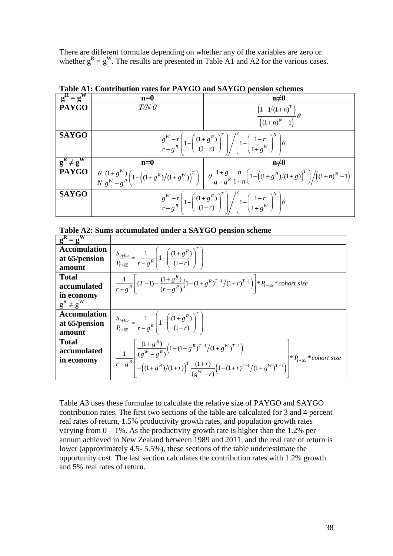There are different formulae depending on whether any of the variables are zero or whether  $g^R = g^W$ . The results are presented in Table A1 and A2 for the various cases.

| and DITTOO pension senemes |                                                                                                                                             |                                                                                                                                                                                                                                        |  |  |
|----------------------------|---------------------------------------------------------------------------------------------------------------------------------------------|----------------------------------------------------------------------------------------------------------------------------------------------------------------------------------------------------------------------------------------|--|--|
| $g^R = g^W$                | $n=0$                                                                                                                                       | $n\neq 0$                                                                                                                                                                                                                              |  |  |
| <b>PAYGO</b>               | $T/N \theta$                                                                                                                                | $\frac{\left(1-1/(1+n)^{T}\right)}{\left(\left(1+n\right)^{N}-1\right)}\theta$                                                                                                                                                         |  |  |
|                            |                                                                                                                                             |                                                                                                                                                                                                                                        |  |  |
| <b>SAYGO</b>               | $\frac{g^W-r}{r-g^R}\left(1-\left(\frac{(1+g^R)}{(1+r)}\right)^T\right)\left/ \left(1-\left(\frac{1+r}{1+g^W}\right)^N\right)\theta\right.$ |                                                                                                                                                                                                                                        |  |  |
| $g^{R} \neq g^{W}$         | $n=0$                                                                                                                                       | $n\neq 0$                                                                                                                                                                                                                              |  |  |
|                            |                                                                                                                                             | <b>PAYGO</b> $\frac{\theta}{N} \frac{(1+g^W)}{e^W - e^R} \left(1 - \left((1+g^R)/(1+g^W)\right)^T\right) \left( \theta \frac{1+g}{g-g^R} \frac{n}{1+n} \left(1 - \left((1+g^R)/(1+g)\right)^T\right) \right) \left((1+n)^N - 1\right)$ |  |  |
| <b>SAYGO</b>               | $\frac{g^W-r}{r-g^R}\left(1-\left(\frac{(1+g^R)}{(1+r)}\right)^r\right)\left(1-\left(\frac{1+r}{1+g^W}\right)^N\right)\theta$               |                                                                                                                                                                                                                                        |  |  |

**Table A1: Contribution rates for PAYGO and SAYGO pension schemes**

**Table A2: Sums accumulated under a SAYGO pension scheme**

| $g^R = g^W$         |                                                                                                                                                                                                                                 |
|---------------------|---------------------------------------------------------------------------------------------------------------------------------------------------------------------------------------------------------------------------------|
| <b>Accumulation</b> |                                                                                                                                                                                                                                 |
| at 65/pension       | $\frac{S_{t+65}}{P_{t+65}} = \frac{1}{r-g^R} \left[ 1 - \left( \frac{(1+g^R)}{(1+r)} \right)^T \right]$                                                                                                                         |
| amount              |                                                                                                                                                                                                                                 |
| <b>Total</b>        |                                                                                                                                                                                                                                 |
| accumulated         | $\frac{1}{r - g^R} \left[ (T - 1) - \frac{(1 + g^R)}{(r - g^R)} \left( 1 - (1 + g^R)^{T-1} / (1 + r)^{T-1} \right) \right] * P_{t+65} * cohort size$                                                                            |
| in economy          |                                                                                                                                                                                                                                 |
| $g^{R} \neq g^{W}$  |                                                                                                                                                                                                                                 |
| <b>Accumulation</b> |                                                                                                                                                                                                                                 |
| at 65/pension       | $\frac{S_{t+65}}{P_{t+65}} = \frac{1}{r-g^R} \left[ 1 - \left( \frac{(1+g^R)}{(1+r)} \right)^t \right]$                                                                                                                         |
| amount              |                                                                                                                                                                                                                                 |
| <b>Total</b>        |                                                                                                                                                                                                                                 |
| accumulated         |                                                                                                                                                                                                                                 |
| in economy          | $*P_{t+65}*$ cohort size                                                                                                                                                                                                        |
|                     | $\frac{1}{r-g^R}\left[\frac{(1+g^R)}{(g^W-g^R)}\left(1-(1+g^R)^{T-1}/(1+g^W)^{T-1}\right)\right],$<br>$\frac{1}{r-g^R}\left[-\left((1+g^R)/(1+r)\right)^T\frac{(1+r)}{(g^W-r)}\left(1-(1+r)^{T-1}/(1+g^W)^{T-1}\right)\right],$ |

Table A3 uses these formulae to calculate the relative size of PAYGO and SAYGO contribution rates. The first two sections of the table are calculated for 3 and 4 percent real rates of return, 1.5% productivity growth rates, and population growth rates varying from  $0 - 1\%$ . As the productivity growth rate is higher than the 1.2% per annum achieved in New Zealand between 1989 and 2011, and the real rate of return is lower (approximately 4.5- 5.5%), these sections of the table underestimate the opportunity cost. The last section calculates the contribution rates with 1.2% growth and 5% real rates of return.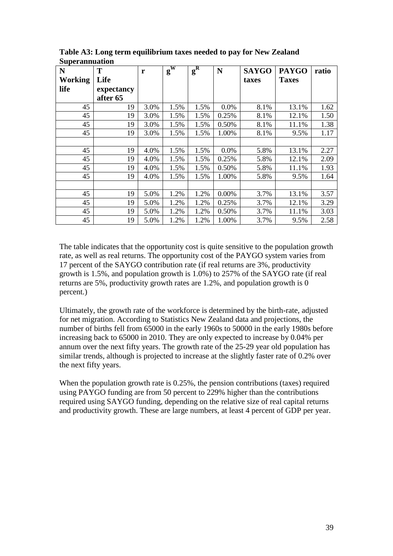| N              | T          | r    | $\mathbf{g}^{\mathbf{W}}$ | $g^R$ | N     | <b>SAYGO</b> | <b>PAYGO</b> | ratio |
|----------------|------------|------|---------------------------|-------|-------|--------------|--------------|-------|
| <b>Working</b> | Life       |      |                           |       |       | taxes        | <b>Taxes</b> |       |
| life           | expectancy |      |                           |       |       |              |              |       |
|                | after 65   |      |                           |       |       |              |              |       |
| 45             | 19         | 3.0% | 1.5%                      | 1.5%  | 0.0%  | 8.1%         | 13.1%        | 1.62  |
| 45             | 19         | 3.0% | 1.5%                      | 1.5%  | 0.25% | 8.1%         | 12.1%        | 1.50  |
| 45             | 19         | 3.0% | 1.5%                      | 1.5%  | 0.50% | 8.1%         | 11.1%        | 1.38  |
| 45             | 19         | 3.0% | 1.5%                      | 1.5%  | 1.00% | 8.1%         | 9.5%         | 1.17  |
|                |            |      |                           |       |       |              |              |       |
| 45             | 19         | 4.0% | 1.5%                      | 1.5%  | 0.0%  | 5.8%         | 13.1%        | 2.27  |
| 45             | 19         | 4.0% | 1.5%                      | 1.5%  | 0.25% | 5.8%         | 12.1%        | 2.09  |
| 45             | 19         | 4.0% | 1.5%                      | 1.5%  | 0.50% | 5.8%         | 11.1%        | 1.93  |
| 45             | 19         | 4.0% | 1.5%                      | 1.5%  | 1.00% | 5.8%         | 9.5%         | 1.64  |
|                |            |      |                           |       |       |              |              |       |
| 45             | 19         | 5.0% | 1.2%                      | 1.2%  | 0.00% | 3.7%         | 13.1%        | 3.57  |
| 45             | 19         | 5.0% | 1.2%                      | 1.2%  | 0.25% | 3.7%         | 12.1%        | 3.29  |
| 45             | 19         | 5.0% | 1.2%                      | 1.2%  | 0.50% | 3.7%         | 11.1%        | 3.03  |
| 45             | 19         | 5.0% | 1.2%                      | 1.2%  | 1.00% | 3.7%         | 9.5%         | 2.58  |

**Table A3: Long term equilibrium taxes needed to pay for New Zealand Superannuation** 

The table indicates that the opportunity cost is quite sensitive to the population growth rate, as well as real returns. The opportunity cost of the PAYGO system varies from 17 percent of the SAYGO contribution rate (if real returns are 3%, productivity growth is 1.5%, and population growth is 1.0%) to 257% of the SAYGO rate (if real returns are 5%, productivity growth rates are 1.2%, and population growth is 0 percent.)

Ultimately, the growth rate of the workforce is determined by the birth-rate, adjusted for net migration. According to Statistics New Zealand data and projections, the number of births fell from 65000 in the early 1960s to 50000 in the early 1980s before increasing back to 65000 in 2010. They are only expected to increase by 0.04% per annum over the next fifty years. The growth rate of the 25-29 year old population has similar trends, although is projected to increase at the slightly faster rate of 0.2% over the next fifty years.

When the population growth rate is 0.25%, the pension contributions (taxes) required using PAYGO funding are from 50 percent to 229% higher than the contributions required using SAYGO funding, depending on the relative size of real capital returns and productivity growth. These are large numbers, at least 4 percent of GDP per year.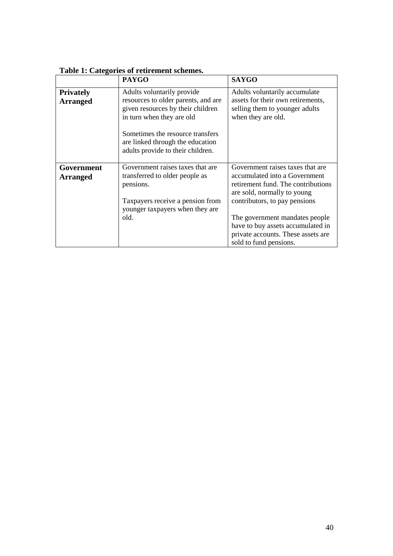|                                     | <b>PAYGO</b>                                                                                                                        | <b>SAYGO</b>                                                                                                                                                            |  |
|-------------------------------------|-------------------------------------------------------------------------------------------------------------------------------------|-------------------------------------------------------------------------------------------------------------------------------------------------------------------------|--|
| <b>Privately</b><br><b>Arranged</b> | Adults voluntarily provide<br>resources to older parents, and are<br>given resources by their children<br>in turn when they are old | Adults voluntarily accumulate<br>assets for their own retirements,<br>selling them to younger adults<br>when they are old.                                              |  |
|                                     | Sometimes the resource transfers<br>are linked through the education<br>adults provide to their children.                           |                                                                                                                                                                         |  |
| Government<br><b>Arranged</b>       | Government raises taxes that are<br>transferred to older people as<br>pensions.<br>Taxpayers receive a pension from                 | Government raises taxes that are<br>accumulated into a Government<br>retirement fund. The contributions<br>are sold, normally to young<br>contributors, to pay pensions |  |
|                                     | younger taxpayers when they are<br>old.                                                                                             | The government mandates people<br>have to buy assets accumulated in<br>private accounts. These assets are<br>sold to fund pensions.                                     |  |

**Table 1: Categories of retirement schemes.**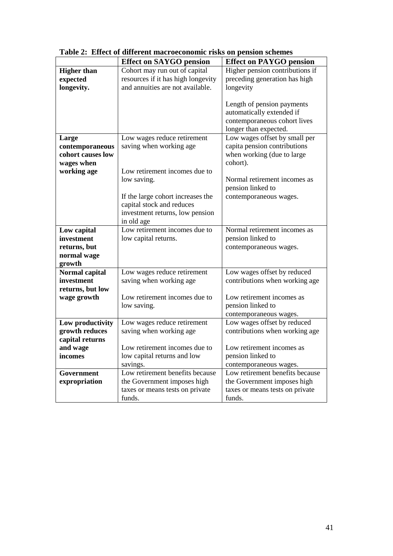|                    | <b>Effect on SAYGO pension</b>     | <b>Effect on PAYGO pension</b>                        |
|--------------------|------------------------------------|-------------------------------------------------------|
| <b>Higher than</b> | Cohort may run out of capital      | Higher pension contributions if                       |
| expected           | resources if it has high longevity | preceding generation has high                         |
| longevity.         | and annuities are not available.   | longevity                                             |
|                    |                                    |                                                       |
|                    |                                    | Length of pension payments                            |
|                    |                                    | automatically extended if                             |
|                    |                                    | contemporaneous cohort lives                          |
|                    |                                    | longer than expected.                                 |
| Large              | Low wages reduce retirement        | Low wages offset by small per                         |
| contemporaneous    | saving when working age            | capita pension contributions                          |
| cohort causes low  |                                    | when working (due to large                            |
| wages when         |                                    | cohort).                                              |
| working age        | Low retirement incomes due to      |                                                       |
|                    | low saving.                        | Normal retirement incomes as                          |
|                    |                                    | pension linked to                                     |
|                    | If the large cohort increases the  | contemporaneous wages.                                |
|                    | capital stock and reduces          |                                                       |
|                    | investment returns, low pension    |                                                       |
|                    | in old age                         |                                                       |
| Low capital        | Low retirement incomes due to      | Normal retirement incomes as                          |
| investment         | low capital returns.               | pension linked to                                     |
| returns, but       |                                    | contemporaneous wages.                                |
| normal wage        |                                    |                                                       |
| growth             |                                    |                                                       |
| Normal capital     | Low wages reduce retirement        | Low wages offset by reduced                           |
| investment         | saving when working age            | contributions when working age                        |
| returns, but low   | Low retirement incomes due to      | Low retirement incomes as                             |
| wage growth        |                                    |                                                       |
|                    | low saving.                        | pension linked to                                     |
| Low productivity   | Low wages reduce retirement        | contemporaneous wages.<br>Low wages offset by reduced |
| growth reduces     | saving when working age            | contributions when working age                        |
| capital returns    |                                    |                                                       |
| and wage           | Low retirement incomes due to      | Low retirement incomes as                             |
| incomes            | low capital returns and low        | pension linked to                                     |
|                    | savings.                           | contemporaneous wages.                                |
| Government         | Low retirement benefits because    | Low retirement benefits because                       |
| expropriation      | the Government imposes high        | the Government imposes high                           |
|                    | taxes or means tests on private    | taxes or means tests on private                       |
|                    | funds.                             | funds.                                                |

**Table 2: Effect of different macroeconomic risks on pension schemes**